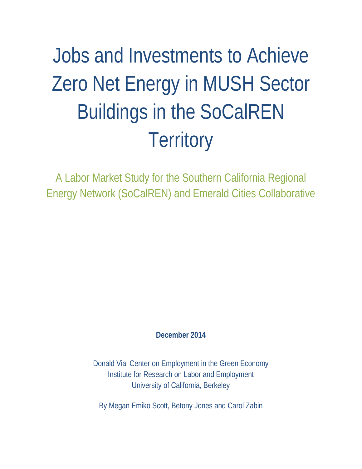# Jobs and Investments to Achieve Zero Net Energy in MUSH Sector Buildings in the SoCalREN **Territory**

A Labor Market Study for the Southern California Regional Energy Network (SoCalREN) and Emerald Cities Collaborative

**December 2014**

Donald Vial Center on Employment in the Green Economy Institute for Research on Labor and Employment University of California, Berkeley

By Megan Emiko Scott, Betony Jones and Carol Zabin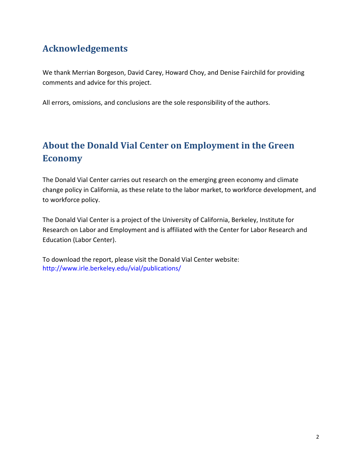## **Acknowledgements**

We thank Merrian Borgeson, David Carey, Howard Choy, and Denise Fairchild for providing comments and advice for this project.

All errors, omissions, and conclusions are the sole responsibility of the authors.

# **About the Donald Vial Center on Employment in the Green Economy**

The Donald Vial Center carries out research on the emerging green economy and climate change policy in California, as these relate to the labor market, to workforce development, and to workforce policy.

The Donald Vial Center is a project of the University of California, Berkeley, Institute for Research on Labor and Employment and is affiliated with the Center for Labor Research and Education (Labor Center).

To download the report, please visit the Donald Vial Center website: <http://www.irle.berkeley.edu/vial/publications/>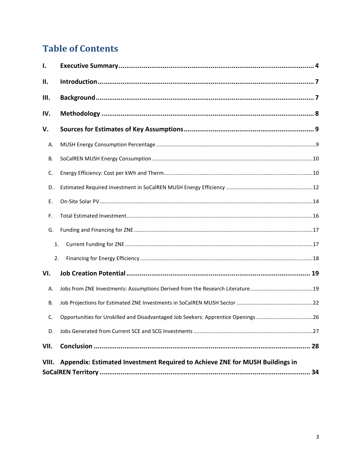# **Table of Contents**

<span id="page-2-0"></span>

| I.    |                                                                                  |  |
|-------|----------------------------------------------------------------------------------|--|
| П.    |                                                                                  |  |
| Ш.    |                                                                                  |  |
| IV.   |                                                                                  |  |
| V.    |                                                                                  |  |
| Α.    |                                                                                  |  |
| В.    |                                                                                  |  |
| C.    |                                                                                  |  |
| D.    |                                                                                  |  |
| Ε.    |                                                                                  |  |
| F.    |                                                                                  |  |
| G.    |                                                                                  |  |
| 1.    |                                                                                  |  |
| 2.    |                                                                                  |  |
| VI.   |                                                                                  |  |
| А.    | Jobs from ZNE Investments: Assumptions Derived from the Research Literature19    |  |
| В.    |                                                                                  |  |
| C.    | Opportunities for Unskilled and Disadvantaged Job Seekers: Apprentice Openings26 |  |
| D.    |                                                                                  |  |
| VII.  |                                                                                  |  |
| VIII. | Appendix: Estimated Investment Required to Achieve ZNE for MUSH Buildings in     |  |
|       |                                                                                  |  |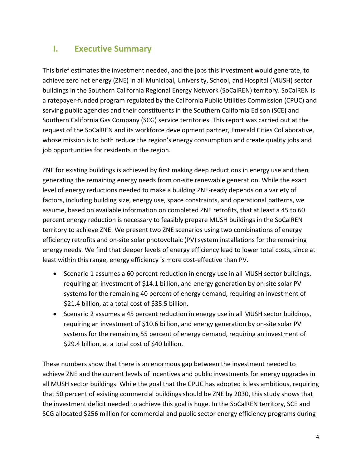## **I. Executive Summary**

This brief estimates the investment needed, and the jobs this investment would generate, to achieve zero net energy (ZNE) in all Municipal, University, School, and Hospital (MUSH) sector buildings in the Southern California Regional Energy Network (SoCalREN) territory. SoCalREN is a ratepayer-funded program regulated by the California Public Utilities Commission (CPUC) and serving public agencies and their constituents in the Southern California Edison (SCE) and Southern California Gas Company (SCG) service territories. This report was carried out at the request of the SoCalREN and its workforce development partner, Emerald Cities Collaborative, whose mission is to both reduce the region's energy consumption and create quality jobs and job opportunities for residents in the region.

ZNE for existing buildings is achieved by first making deep reductions in energy use and then generating the remaining energy needs from on-site renewable generation. While the exact level of energy reductions needed to make a building ZNE-ready depends on a variety of factors, including building size, energy use, space constraints, and operational patterns, we assume, based on available information on completed ZNE retrofits, that at least a 45 to 60 percent energy reduction is necessary to feasibly prepare MUSH buildings in the SoCalREN territory to achieve ZNE. We present two ZNE scenarios using two combinations of energy efficiency retrofits and on-site solar photovoltaic (PV) system installations for the remaining energy needs. We find that deeper levels of energy efficiency lead to lower total costs, since at least within this range, energy efficiency is more cost-effective than PV.

- Scenario 1 assumes a 60 percent reduction in energy use in all MUSH sector buildings, requiring an investment of \$14.1 billion, and energy generation by on-site solar PV systems for the remaining 40 percent of energy demand, requiring an investment of \$21.4 billion, at a total cost of \$35.5 billion.
- Scenario 2 assumes a 45 percent reduction in energy use in all MUSH sector buildings, requiring an investment of \$10.6 billion, and energy generation by on-site solar PV systems for the remaining 55 percent of energy demand, requiring an investment of \$29.4 billion, at a total cost of \$40 billion.

These numbers show that there is an enormous gap between the investment needed to achieve ZNE and the current levels of incentives and public investments for energy upgrades in all MUSH sector buildings. While the goal that the CPUC has adopted is less ambitious, requiring that 50 percent of existing commercial buildings should be ZNE by 2030, this study shows that the investment deficit needed to achieve this goal is huge. In the SoCalREN territory, SCE and SCG allocated \$256 million for commercial and public sector energy efficiency programs during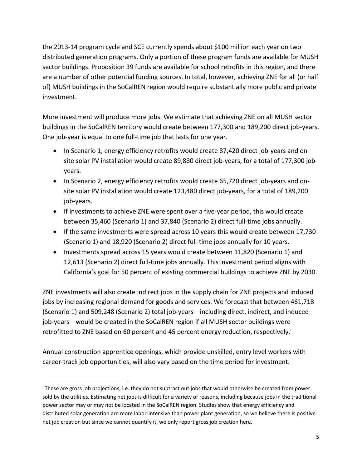the 2013-14 program cycle and SCE currently spends about \$100 million each year on two distributed generation programs. Only a portion of these program funds are available for MUSH sector buildings. Proposition 39 funds are available for school retrofits in this region, and there are a number of other potential funding sources. In total, however, achieving ZNE for all (or half of) MUSH buildings in the SoCalREN region would require substantially more public and private investment.

More investment will produce more jobs. We estimate that achieving ZNE on all MUSH sector buildings in the SoCalREN territory would create between 177,300 and 189,200 direct job-years. One job-year is equal to one full-time job that lasts for one year.

- In Scenario 1, energy efficiency retrofits would create 87,420 direct job-years and onsite solar PV installation would create 89,880 direct job-years, for a total of 177,300 jobyears.
- In Scenario 2, energy efficiency retrofits would create 65,720 direct job-years and onsite solar PV installation would create 123,480 direct job-years, for a total of 189,200 job-years.
- If investments to achieve ZNE were spent over a five-year period, this would create between 35,460 (Scenario 1) and 37,840 (Scenario 2) direct full-time jobs annually.
- If the same investments were spread across 10 years this would create between 17,730 (Scenario 1) and 18,920 (Scenario 2) direct full-time jobs annually for 10 years.
- Investments spread across 15 years would create between 11,820 (Scenario 1) and 12,613 (Scenario 2) direct full-time jobs annually. This investment period aligns with California's goal for 50 percent of existing commercial buildings to achieve ZNE by 2030.

ZNE investments will also create indirect jobs in the supply chain for ZNE projects and induced jobs by increasing regional demand for goods and services. We forecast that between 461,718 (Scenario 1) and 509,248 (Scenario 2) total job-years—including direct, indirect, and induced job-years—would be created in the SoCalREN region if all MUSH sector buildings were retrofitted to ZNE based on 60 percent and 45 percent energy reduction, respectively. [i](#page-4-0)

Annual construction apprentice openings, which provide unskilled, entry level workers with career-track job opportunities, will also vary based on the time period for investment.

 $\overline{a}$ 

<span id="page-4-0"></span>i These are gross job projections, i.e. they do not subtract out jobs that would otherwise be created from power sold by the utilities. Estimating net jobs is difficult for a variety of reasons, including because jobs in the traditional power sector may or may not be located in the SoCalREN region. Studies show that energy efficiency and distributed solar generation are more labor-intensive than power plant generation, so we believe there is positive net job creation but since we cannot quantify it, we only report gross job creation here.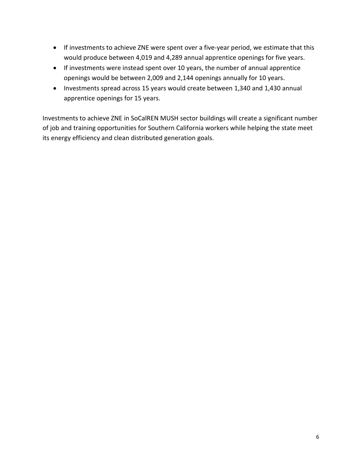- If investments to achieve ZNE were spent over a five-year period, we estimate that this would produce between 4,019 and 4,289 annual apprentice openings for five years.
- If investments were instead spent over 10 years, the number of annual apprentice openings would be between 2,009 and 2,144 openings annually for 10 years.
- Investments spread across 15 years would create between 1,340 and 1,430 annual apprentice openings for 15 years.

<span id="page-5-0"></span>Investments to achieve ZNE in SoCalREN MUSH sector buildings will create a significant number of job and training opportunities for Southern California workers while helping the state meet its energy efficiency and clean distributed generation goals.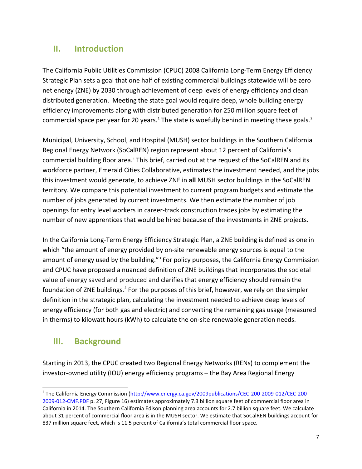## **II. Introduction**

The California Public Utilities Commission (CPUC) 2008 California Long-Term Energy Efficiency Strategic Plan sets a goal that one half of existing commercial buildings statewide will be zero net energy (ZNE) by 2030 through achievement of deep levels of energy efficiency and clean distributed generation. Meeting the state goal would require deep, whole building energy efficiency improvements along with distributed generation for 250 million square feet of commercial space per year for 20 years.<sup>[1](#page-30-0)</sup> The state is woefully behind in meeting these goals.<sup>[2](#page-30-1)</sup>

Municipal, University, School, and Hospital (MUSH) sector buildings in the Southern California Regional Energy Network (SoCalREN) region represent about 12 percent of California's commercial building floor area.<sup>"</sup> This brief, carried out at the request of the SoCalREN and its workforce partner, Emerald Cities Collaborative, estimates the investment needed, and the jobs this investment would generate, to achieve ZNE in **all** MUSH sector buildings in the SoCalREN territory. We compare this potential investment to current program budgets and estimate the number of jobs generated by current investments. We then estimate the number of job openings for entry level workers in career-track construction trades jobs by estimating the number of new apprentices that would be hired because of the investments in ZNE projects.

In the California Long-Term Energy Efficiency Strategic Plan, a ZNE building is defined as one in which "the amount of energy provided by on-site renewable energy sources is equal to the amount of energy used by the building."<sup>[3](#page-30-2)</sup> For policy purposes, the California Energy Commission and CPUC have proposed a nuanced definition of ZNE buildings that incorporates the societal value of energy saved and produced and clarifies that energy efficiency should remain the foundation of ZNE buildings.<sup>[4](#page-30-3)</sup> For the purposes of this brief, however, we rely on the simpler definition in the strategic plan, calculating the investment needed to achieve deep levels of energy efficiency (for both gas and electric) and converting the remaining gas usage (measured in therms) to kilowatt hours (kWh) to calculate the on-site renewable generation needs.

## <span id="page-6-0"></span>**III. Background**

 $\overline{a}$ 

Starting in 2013, the CPUC created two Regional Energy Networks (RENs) to complement the investor-owned utility (IOU) energy efficiency programs – the Bay Area Regional Energy

<span id="page-6-1"></span>ii The California Energy Commission [\(http://www.energy.ca.gov/2009publications/CEC-200-2009-012/CEC-200-](http://www.energy.ca.gov/2009publications/CEC-200-2009-012/CEC-200-2009-012-CMF.PDF) [2009-012-CMF.PDF](http://www.energy.ca.gov/2009publications/CEC-200-2009-012/CEC-200-2009-012-CMF.PDF) p. 27, Figure 16) estimates approximately 7.3 billion square feet of commercial floor area in California in 2014. The Southern California Edison planning area accounts for 2.7 billion square feet. We calculate about 31 percent of commercial floor area is in the MUSH sector. We estimate that SoCalREN buildings account for 837 million square feet, which is 11.5 percent of California's total commercial floor space.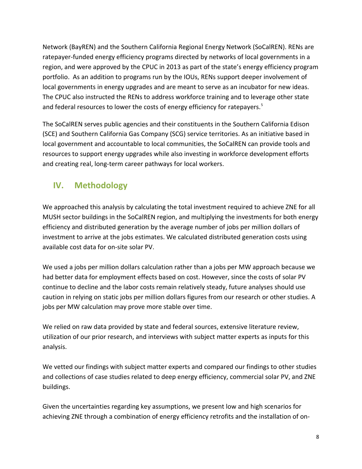Network (BayREN) and the Southern California Regional Energy Network (SoCalREN). RENs are ratepayer-funded energy efficiency programs directed by networks of local governments in a region, and were approved by the CPUC in 2013 as part of the state's energy efficiency program portfolio. As an addition to programs run by the IOUs, RENs support deeper involvement of local governments in energy upgrades and are meant to serve as an incubator for new ideas. The CPUC also instructed the RENs to address workforce training and to leverage other state and federal resources to lower the costs of energy efficiency for ratepayers.<sup>[5](#page-31-0)</sup>

The SoCalREN serves public agencies and their constituents in the Southern California Edison (SCE) and Southern California Gas Company (SCG) service territories. As an initiative based in local government and accountable to local communities, the SoCalREN can provide tools and resources to support energy upgrades while also investing in workforce development efforts and creating real, long-term career pathways for local workers.

## <span id="page-7-0"></span>**IV. Methodology**

We approached this analysis by calculating the total investment required to achieve ZNE for all MUSH sector buildings in the SoCalREN region, and multiplying the investments for both energy efficiency and distributed generation by the average number of jobs per million dollars of investment to arrive at the jobs estimates. We calculated distributed generation costs using available cost data for on-site solar PV.

We used a jobs per million dollars calculation rather than a jobs per MW approach because we had better data for employment effects based on cost. However, since the costs of solar PV continue to decline and the labor costs remain relatively steady, future analyses should use caution in relying on static jobs per million dollars figures from our research or other studies. A jobs per MW calculation may prove more stable over time.

We relied on raw data provided by state and federal sources, extensive literature review, utilization of our prior research, and interviews with subject matter experts as inputs for this analysis.

We vetted our findings with subject matter experts and compared our findings to other studies and collections of case studies related to deep energy efficiency, commercial solar PV, and ZNE buildings.

Given the uncertainties regarding key assumptions, we present low and high scenarios for achieving ZNE through a combination of energy efficiency retrofits and the installation of on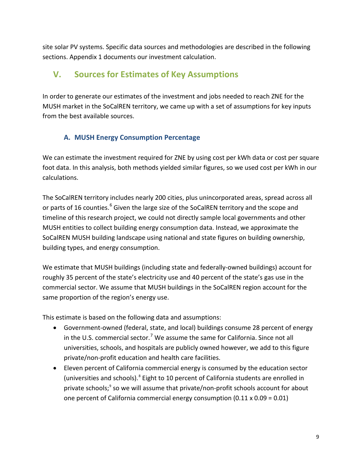site solar PV systems. Specific data sources and methodologies are described in the following sections. Appendix 1 documents our investment calculation.

## <span id="page-8-0"></span>**V. Sources for Estimates of Key Assumptions**

In order to generate our estimates of the investment and jobs needed to reach ZNE for the MUSH market in the SoCalREN territory, we came up with a set of assumptions for key inputs from the best available sources.

#### **A. MUSH Energy Consumption Percentage**

<span id="page-8-1"></span>We can estimate the investment required for ZNE by using cost per kWh data or cost per square foot data. In this analysis, both methods yielded similar figures, so we used cost per kWh in our calculations.

The SoCalREN territory includes nearly 200 cities, plus unincorporated areas, spread across all or parts of 1[6](#page-31-1) counties.<sup>6</sup> Given the large size of the SoCalREN territory and the scope and timeline of this research project, we could not directly sample local governments and other MUSH entities to collect building energy consumption data. Instead, we approximate the SoCalREN MUSH building landscape using national and state figures on building ownership, building types, and energy consumption.

We estimate that MUSH buildings (including state and federally-owned buildings) account for roughly 35 percent of the state's electricity use and 40 percent of the state's gas use in the commercial sector. We assume that MUSH buildings in the SoCalREN region account for the same proportion of the region's energy use.

This estimate is based on the following data and assumptions:

- Government-owned (federal, state, and local) buildings consume 28 percent of energy in the U.S. commercial sector.<sup>[7](#page-31-2)</sup> We assume the same for California. Since not all universities, schools, and hospitals are publicly owned however, we add to this figure private/non-profit education and health care facilities.
- Eleven percent of California commercial energy is consumed by the education sector (universities and schools).<sup>[8](#page-31-3)</sup> Eight to 10 percent of California students are enrolled in private schools;<sup>[9](#page-31-4)</sup> so we will assume that private/non-profit schools account for about one percent of California commercial energy consumption  $(0.11 \times 0.09 = 0.01)$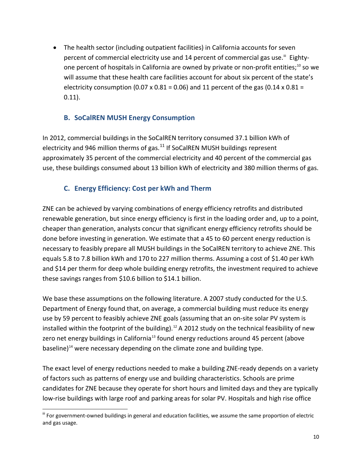• The health sector (including outpatient facilities) in California accounts for seven percent of commercial electricity use and 14 percent of commercial gas use.<sup>[iii](#page-9-2)</sup> Eighty-one percent of hospitals in California are owned by private or non-profit entities;<sup>[10](#page-32-0)</sup> so we will assume that these health care facilities account for about six percent of the state's electricity consumption (0.07 x 0.81 = 0.06) and 11 percent of the gas (0.14 x 0.81 = 0.11).

#### **B. SoCalREN MUSH Energy Consumption**

<span id="page-9-0"></span>In 2012, commercial buildings in the SoCalREN territory consumed 37.1 billion kWh of electricity and 946 million therms of gas. $^{11}$  $^{11}$  $^{11}$  If SoCalREN MUSH buildings represent approximately 35 percent of the commercial electricity and 40 percent of the commercial gas use, these buildings consumed about 13 billion kWh of electricity and 380 million therms of gas.

#### **C. Energy Efficiency: Cost per kWh and Therm**

<span id="page-9-1"></span>ZNE can be achieved by varying combinations of energy efficiency retrofits and distributed renewable generation, but since energy efficiency is first in the loading order and, up to a point, cheaper than generation, analysts concur that significant energy efficiency retrofits should be done before investing in generation. We estimate that a 45 to 60 percent energy reduction is necessary to feasibly prepare all MUSH buildings in the SoCalREN territory to achieve ZNE. This equals 5.8 to 7.8 billion kWh and 170 to 227 million therms. Assuming a cost of \$1.40 per kWh and \$14 per therm for deep whole building energy retrofits, the investment required to achieve these savings ranges from \$10.6 billion to \$14.1 billion.

We base these assumptions on the following literature. A 2007 study conducted for the U.S. Department of Energy found that, on average, a commercial building must reduce its energy use by 59 percent to feasibly achieve ZNE goals (assuming that an on-site solar PV system is installed within the footprint of the building).<sup>[12](#page-32-2)</sup> A 2012 study on the technical feasibility of new zero net energy buildings in California<sup>[13](#page-32-3)</sup> found energy reductions around 45 percent (above baseline)<sup>[14](#page-32-4)</sup> were necessary depending on the climate zone and building type.

The exact level of energy reductions needed to make a building ZNE-ready depends on a variety of factors such as patterns of energy use and building characteristics. Schools are prime candidates for ZNE because they operate for short hours and limited days and they are typically low-rise buildings with large roof and parking areas for solar PV. Hospitals and high rise office

<span id="page-9-2"></span> $\overline{a}$ iii For government-owned buildings in general and education facilities, we assume the same proportion of electric and gas usage.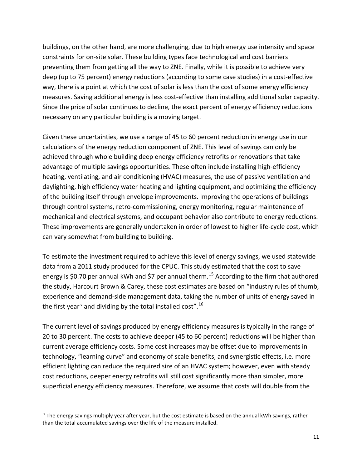buildings, on the other hand, are more challenging, due to high energy use intensity and space constraints for on-site solar. These building types face technological and cost barriers preventing them from getting all the way to ZNE. Finally, while it is possible to achieve very deep (up to 75 percent) energy reductions (according to some case studies) in a cost-effective way, there is a point at which the cost of solar is less than the cost of some energy efficiency measures. Saving additional energy is less cost-effective than installing additional solar capacity. Since the price of solar continues to decline, the exact percent of energy efficiency reductions necessary on any particular building is a moving target.

Given these uncertainties, we use a range of 45 to 60 percent reduction in energy use in our calculations of the energy reduction component of ZNE. This level of savings can only be achieved through whole building deep energy efficiency retrofits or renovations that take advantage of multiple savings opportunities. These often include installing high-efficiency heating, ventilating, and air conditioning (HVAC) measures, the use of passive ventilation and daylighting, high efficiency water heating and lighting equipment, and optimizing the efficiency of the building itself through envelope improvements. Improving the operations of buildings through control systems, retro-commissioning, energy monitoring, regular maintenance of mechanical and electrical systems, and occupant behavior also contribute to energy reductions. These improvements are generally undertaken in order of lowest to higher life-cycle cost, which can vary somewhat from building to building.

To estimate the investment required to achieve this level of energy savings, we used statewide data from a 2011 study produced for the CPUC. This study estimated that the cost to save energy is \$0.70 per annual kWh and \$7 per annual therm.<sup>[15](#page-32-5)</sup> According to the firm that authored the study, Harcourt Brown & Carey, these cost estimates are based on "industry rules of thumb, experience and demand-side management data, taking the number of units of energy saved in the first year<sup>[iv](#page-10-0)</sup> and dividing by the total installed cost".<sup>[16](#page-32-6)</sup>

The current level of savings produced by energy efficiency measures is typically in the range of 20 to 30 percent. The costs to achieve deeper (45 to 60 percent) reductions will be higher than current average efficiency costs. Some cost increases may be offset due to improvements in technology, "learning curve" and economy of scale benefits, and synergistic effects, i.e. more efficient lighting can reduce the required size of an HVAC system; however, even with steady cost reductions, deeper energy retrofits will still cost significantly more than simpler, more superficial energy efficiency measures. Therefore, we assume that costs will double from the

 $\overline{a}$ 

<span id="page-10-0"></span><sup>&</sup>lt;sup>iv</sup> The energy savings multiply year after year, but the cost estimate is based on the annual kWh savings, rather than the total accumulated savings over the life of the measure installed.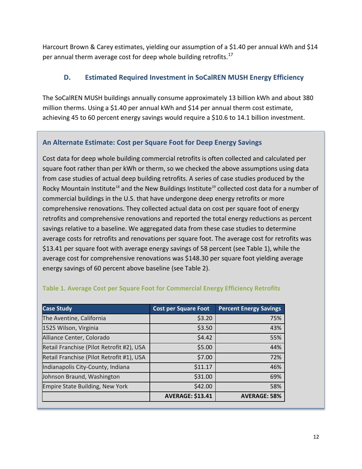Harcourt Brown & Carey estimates, yielding our assumption of a \$1.40 per annual kWh and \$14 per annual therm average cost for deep whole building retrofits.<sup>[17](#page-32-7)</sup>

#### <span id="page-11-0"></span>**D. Estimated Required Investment in SoCalREN MUSH Energy Efficiency**

The SoCalREN MUSH buildings annually consume approximately 13 billion kWh and about 380 million therms. Using a \$1.40 per annual kWh and \$14 per annual therm cost estimate, achieving 45 to 60 percent energy savings would require a \$10.6 to 14.1 billion investment.

#### **An Alternate Estimate: Cost per Square Foot for Deep Energy Savings**

Cost data for deep whole building commercial retrofits is often collected and calculated per square foot rather than per kWh or therm, so we checked the above assumptions using data from case studies of actual deep building retrofits. A series of case studies produced by the Rocky Mountain Institute<sup>[18](#page-32-8)</sup> and the New Buildings Institute<sup>[19](#page-32-9)</sup> collected cost data for a number of commercial buildings in the U.S. that have undergone deep energy retrofits or more comprehensive renovations. They collected actual data on cost per square foot of energy retrofits and comprehensive renovations and reported the total energy reductions as percent savings relative to a baseline. We aggregated data from these case studies to determine average costs for retrofits and renovations per square foot. The average cost for retrofits was \$13.41 per square foot with average energy savings of 58 percent (see Table 1), while the average cost for comprehensive renovations was \$148.30 per square foot yielding average energy savings of 60 percent above baseline (see Table 2).

| <b>Case Study</b>                         | <b>Cost per Square Foot</b> | <b>Percent Energy Savings</b> |
|-------------------------------------------|-----------------------------|-------------------------------|
| The Aventine, California                  | \$3.20                      | 75%                           |
| 1525 Wilson, Virginia                     | \$3.50                      | 43%                           |
| Alliance Center, Colorado                 | \$4.42                      | 55%                           |
| Retail Franchise (Pilot Retrofit #2), USA | \$5.00                      | 44%                           |
| Retail Franchise (Pilot Retrofit #1), USA | \$7.00                      | 72%                           |
| Indianapolis City-County, Indiana         | \$11.17                     | 46%                           |
| Johnson Braund, Washington                | \$31.00                     | 69%                           |
| Empire State Building, New York           | \$42.00                     | 58%                           |
|                                           | <b>AVERAGE: \$13.41</b>     | <b>AVERAGE: 58%</b>           |

#### **Table 1. Average Cost per Square Foot for Commercial Energy Efficiency Retrofits**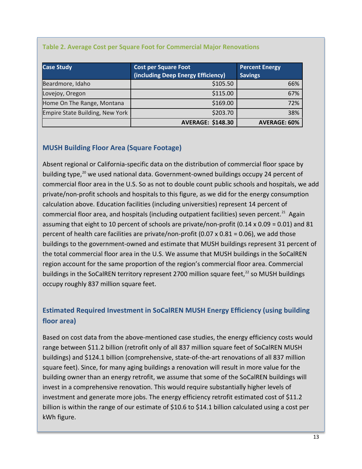| <b>Case Study</b>               | <b>Cost per Square Foot</b><br>(including Deep Energy Efficiency) | <b>Percent Energy</b><br><b>Savings</b> |
|---------------------------------|-------------------------------------------------------------------|-----------------------------------------|
| Beardmore, Idaho                | \$105.50                                                          | 66%                                     |
| Lovejoy, Oregon                 | \$115.00                                                          | 67%                                     |
| Home On The Range, Montana      | \$169.00                                                          | 72%                                     |
| Empire State Building, New York | \$203.70                                                          | 38%                                     |
|                                 | <b>AVERAGE: \$148.30</b>                                          | <b>AVERAGE: 60%</b>                     |

#### **Table 2. Average Cost per Square Foot for Commercial Major Renovations**

#### **MUSH Building Floor Area (Square Footage)**

Absent regional or California-specific data on the distribution of commercial floor space by building type, $^{20}$  $^{20}$  $^{20}$  we used national data. Government-owned buildings occupy 24 percent of commercial floor area in the U.S. So as not to double count public schools and hospitals, we add private/non-profit schools and hospitals to this figure, as we did for the energy consumption calculation above. Education facilities (including universities) represent 14 percent of commercial floor area, and hospitals (including outpatient facilities) seven percent.<sup>[21](#page-32-11)</sup> Again assuming that eight to 10 percent of schools are private/non-profit (0.14 x 0.09 = 0.01) and 81 percent of health care facilities are private/non-profit (0.07 x 0.81 = 0.06), we add those buildings to the government-owned and estimate that MUSH buildings represent 31 percent of the total commercial floor area in the U.S. We assume that MUSH buildings in the SoCalREN region account for the same proportion of the region's commercial floor area. Commercial buildings in the SoCalREN territory represent 2700 million square feet,<sup>[22](#page-32-12)</sup> so MUSH buildings occupy roughly 837 million square feet.

## **Estimated Required Investment in SoCalREN MUSH Energy Efficiency (using building floor area)**

Based on cost data from the above-mentioned case studies, the energy efficiency costs would range between \$11.2 billion (retrofit only of all 837 million square feet of SoCalREN MUSH buildings) and \$124.1 billion (comprehensive, state-of-the-art renovations of all 837 million square feet). Since, for many aging buildings a renovation will result in more value for the building owner than an energy retrofit, we assume that some of the SoCalREN buildings will invest in a comprehensive renovation. This would require substantially higher levels of investment and generate more jobs. The energy efficiency retrofit estimated cost of \$11.2 billion is within the range of our estimate of \$10.6 to \$14.1 billion calculated using a cost per kWh figure.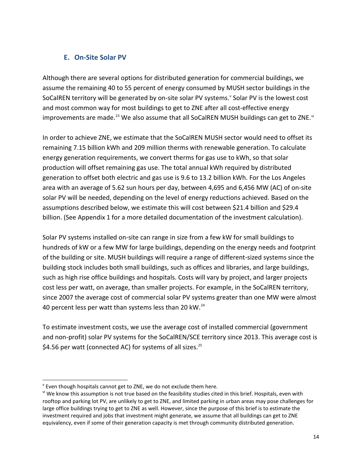#### **E. On-Site Solar PV**

<span id="page-13-0"></span>Although there are several options for distributed generation for commercial buildings, we assume the remaining 40 to 55 percent of energy consumed by MUSH sector buildings in the SoCalREN territory will be generated by on-site solar PV systems. [v](#page-13-1) Solar PV is the lowest cost and most common way for most buildings to get to ZNE after all cost-effective energy improvements are made.<sup>[23](#page-32-13)</sup> We also assume that all SoCalREN MUSH buildings can get to ZNE.<sup>[vi](#page-13-2)</sup>

In order to achieve ZNE, we estimate that the SoCalREN MUSH sector would need to offset its remaining 7.15 billion kWh and 209 million therms with renewable generation. To calculate energy generation requirements, we convert therms for gas use to kWh, so that solar production will offset remaining gas use. The total annual kWh required by distributed generation to offset both electric and gas use is 9.6 to 13.2 billion kWh. For the Los Angeles area with an average of 5.62 sun hours per day, between 4,695 and 6,456 MW (AC) of on-site solar PV will be needed, depending on the level of energy reductions achieved. Based on the assumptions described below, we estimate this will cost between \$21.4 billion and \$29.4 billion. (See Appendix 1 for a more detailed documentation of the investment calculation).

Solar PV systems installed on-site can range in size from a few kW for small buildings to hundreds of kW or a few MW for large buildings, depending on the energy needs and footprint of the building or site. MUSH buildings will require a range of different-sized systems since the building stock includes both small buildings, such as offices and libraries, and large buildings, such as high rise office buildings and hospitals. Costs will vary by project, and larger projects cost less per watt, on average, than smaller projects. For example, in the SoCalREN territory, since 2007 the average cost of commercial solar PV systems greater than one MW were almost 40 percent less per watt than systems less than 20 kW.<sup>[24](#page-32-14)</sup>

To estimate investment costs, we use the average cost of installed commercial (government and non-profit) solar PV systems for the SoCalREN/SCE territory since 2013. This average cost is \$4.56 per watt (connected AC) for systems of all sizes.<sup>[25](#page-32-15)</sup>

 $\overline{a}$ 

<span id="page-13-1"></span> $\mathrm{v}$  Even though hospitals cannot get to ZNE, we do not exclude them here.

<span id="page-13-2"></span>vi We know this assumption is not true based on the feasibility studies cited in this brief. Hospitals, even with rooftop and parking lot PV, are unlikely to get to ZNE, and limited parking in urban areas may pose challenges for large office buildings trying to get to ZNE as well. However, since the purpose of this brief is to estimate the investment required and jobs that investment might generate, we assume that all buildings can get to ZNE equivalency, even if some of their generation capacity is met through community distributed generation.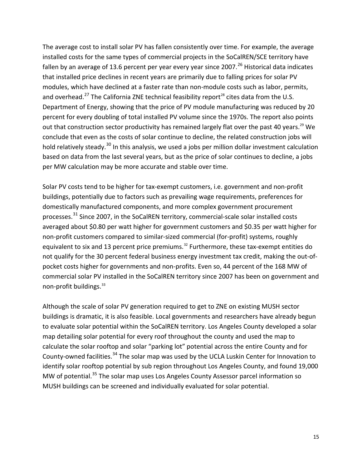The average cost to install solar PV has fallen consistently over time. For example, the average installed costs for the same types of commercial projects in the SoCalREN/SCE territory have fallen by an average of 13.6 percent per year every year since 2007.<sup>[26](#page-32-16)</sup> Historical data indicates that installed price declines in recent years are primarily due to falling prices for solar PV modules, which have declined at a faster rate than non-module costs such as labor, permits, and overhead.<sup>[27](#page-32-17)</sup> The California ZNE technical feasibility report<sup>[28](#page-32-18)</sup> cites data from the U.S. Department of Energy, showing that the price of PV module manufacturing was reduced by 20 percent for every doubling of total installed PV volume since the 1970s. The report also points out that construction sector productivity has remained largely flat over the past 40 years.<sup>29</sup> We conclude that even as the costs of solar continue to decline, the related construction jobs will hold relatively steady.<sup>[30](#page-32-20)</sup> In this analysis, we used a jobs per million dollar investment calculation based on data from the last several years, but as the price of solar continues to decline, a jobs per MW calculation may be more accurate and stable over time.

Solar PV costs tend to be higher for tax-exempt customers, i.e. government and non-profit buildings, potentially due to factors such as prevailing wage requirements, preferences for domestically manufactured components, and more complex government procurement processes.<sup>[31](#page-32-21)</sup> Since 2007, in the SoCalREN territory, commercial-scale solar installed costs averaged about \$0.80 per watt higher for government customers and \$0.35 per watt higher for non-profit customers compared to similar-sized commercial (for-profit) systems, roughly equivalent to six and 13 percent price premiums.<sup>[32](#page-32-22)</sup> Furthermore, these tax-exempt entities do not qualify for the 30 percent federal business energy investment tax credit, making the out-ofpocket costs higher for governments and non-profits. Even so, 44 percent of the 168 MW of commercial solar PV installed in the SoCalREN territory since 2007 has been on government and non-profit buildings.<sup>[33](#page-32-23)</sup>

Although the scale of solar PV generation required to get to ZNE on existing MUSH sector buildings is dramatic, it is also feasible. Local governments and researchers have already begun to evaluate solar potential within the SoCalREN territory. Los Angeles County developed a solar map detailing solar potential for every roof throughout the county and used the map to calculate the solar rooftop and solar "parking lot" potential across the entire County and for County-owned facilities.<sup>[34](#page-32-24)</sup> The solar map was used by the UCLA Luskin Center for Innovation to identify solar rooftop potential by sub region throughout Los Angeles County, and found 19,000 MW of potential.<sup>[35](#page-32-25)</sup> The solar map uses Los Angeles County Assessor parcel information so MUSH buildings can be screened and individually evaluated for solar potential.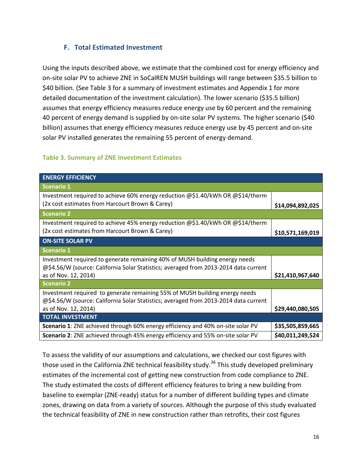#### **F. Total Estimated Investment**

<span id="page-15-0"></span>Using the inputs described above, we estimate that the combined cost for energy efficiency and on-site solar PV to achieve ZNE in SoCalREN MUSH buildings will range between \$35.5 billion to \$40 billion. (See Table 3 for a summary of investment estimates and Appendix 1 for more detailed documentation of the investment calculation). The lower scenario (\$35.5 billion) assumes that energy efficiency measures reduce energy use by 60 percent and the remaining 40 percent of energy demand is supplied by on-site solar PV systems. The higher scenario (\$40 billion) assumes that energy efficiency measures reduce energy use by 45 percent and on-site solar PV installed generates the remaining 55 percent of energy demand.

#### **Table 3. Summary of ZNE Investment Estimates**

| <b>ENERGY EFFICIENCY</b>                                                                                                                                                                    |                  |
|---------------------------------------------------------------------------------------------------------------------------------------------------------------------------------------------|------------------|
| <b>Scenario 1</b>                                                                                                                                                                           |                  |
| Investment required to achieve 60% energy reduction @\$1.40/kWh OR @\$14/therm<br>(2x cost estimates from Harcourt Brown & Carey)                                                           | \$14,094,892,025 |
| <b>Scenario 2</b>                                                                                                                                                                           |                  |
| Investment required to achieve 45% energy reduction @\$1.40/kWh OR @\$14/therm<br>(2x cost estimates from Harcourt Brown & Carey)                                                           | \$10,571,169,019 |
| <b>ON-SITE SOLAR PV</b>                                                                                                                                                                     |                  |
| <b>Scenario 1</b>                                                                                                                                                                           |                  |
| Investment required to generate remaining 40% of MUSH building energy needs<br>@\$4.56/W (source: California Solar Statistics; averaged from 2013-2014 data current<br>as of Nov. 12, 2014) | \$21,410,967,640 |
| <b>Scenario 2</b>                                                                                                                                                                           |                  |
| Investment required to generate remaining 55% of MUSH building energy needs<br>@\$4.56/W (source: California Solar Statistics; averaged from 2013-2014 data current<br>as of Nov. 12, 2014) | \$29,440,080,505 |
| <b>TOTAL INVESTMENT</b>                                                                                                                                                                     |                  |
| Scenario 1: ZNE achieved through 60% energy efficiency and 40% on-site solar PV                                                                                                             | \$35,505,859,665 |
| Scenario 2: ZNE achieved through 45% energy efficiency and 55% on-site solar PV                                                                                                             | \$40,011,249,524 |

To assess the validity of our assumptions and calculations, we checked our cost figures with those used in the California ZNE technical feasibility study.<sup>[36](#page-32-26)</sup> This study developed preliminary estimates of the incremental cost of getting new construction from code compliance to ZNE. The study estimated the costs of different efficiency features to bring a new building from baseline to exemplar (ZNE-ready) status for a number of different building types and climate zones, drawing on data from a variety of sources. Although the purpose of this study evaluated the technical feasibility of ZNE in new construction rather than retrofits, their cost figures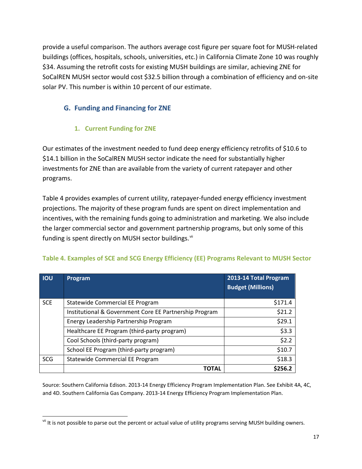provide a useful comparison. The authors average cost figure per square foot for MUSH-related buildings (offices, hospitals, schools, universities, etc.) in California Climate Zone 10 was roughly \$34. Assuming the retrofit costs for existing MUSH buildings are similar, achieving ZNE for SoCalREN MUSH sector would cost \$32.5 billion through a combination of efficiency and on-site solar PV. This number is within 10 percent of our estimate.

#### <span id="page-16-0"></span>**G. Funding and Financing for ZNE**

#### **1. Current Funding for ZNE**

 $\overline{a}$ 

<span id="page-16-1"></span>Our estimates of the investment needed to fund deep energy efficiency retrofits of \$10.6 to \$14.1 billion in the SoCalREN MUSH sector indicate the need for substantially higher investments for ZNE than are available from the variety of current ratepayer and other programs.

Table 4 provides examples of current utility, ratepayer-funded energy efficiency investment projections. The majority of these program funds are spent on direct implementation and incentives, with the remaining funds going to administration and marketing. We also include the larger commercial sector and government partnership programs, but only some of this funding is spent directly on MUSH sector buildings.  $\mathrm{^{\ddot{m}}}$ 

| <b>IOU</b> | Program                                                | 2013-14 Total Program<br><b>Budget (Millions)</b> |
|------------|--------------------------------------------------------|---------------------------------------------------|
| <b>SCE</b> | Statewide Commercial EE Program                        | \$171.4                                           |
|            | Institutional & Government Core EE Partnership Program | \$21.2                                            |
|            | Energy Leadership Partnership Program                  | \$29.1                                            |
|            | Healthcare EE Program (third-party program)            | \$3.3                                             |
|            | Cool Schools (third-party program)                     | \$2.2                                             |
|            | School EE Program (third-party program)                | \$10.7                                            |
| <b>SCG</b> | <b>Statewide Commercial EE Program</b>                 | \$18.3                                            |
|            | <b>TOTAL</b>                                           | \$256.2                                           |

#### **Table 4. Examples of SCE and SCG Energy Efficiency (EE) Programs Relevant to MUSH Sector**

Source: Southern California Edison. 2013-14 Energy Efficiency Program Implementation Plan. See Exhibit 4A, 4C, and 4D. Southern California Gas Company. 2013-14 Energy Efficiency Program Implementation Plan.

<span id="page-16-2"></span><sup>&</sup>lt;sup>vii</sup> It is not possible to parse out the percent or actual value of utility programs serving MUSH building owners.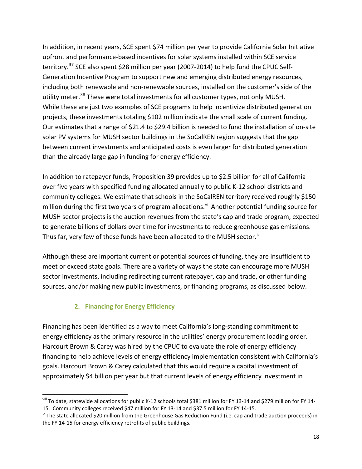In addition, in recent years, SCE spent \$74 million per year to provide California Solar Initiative upfront and performance-based incentives for solar systems installed within SCE service territory.<sup>[37](#page-32-27)</sup> SCE also spent \$28 million per year (2007-2014) to help fund the CPUC Self-Generation Incentive Program to support new and emerging distributed energy resources, including both renewable and non-renewable sources, installed on the customer's side of the utility meter.<sup>[38](#page-32-28)</sup> These were total investments for all customer types, not only MUSH. While these are just two examples of SCE programs to help incentivize distributed generation projects, these investments totaling \$102 million indicate the small scale of current funding. Our estimates that a range of \$21.4 to \$29.4 billion is needed to fund the installation of on-site solar PV systems for MUSH sector buildings in the SoCalREN region suggests that the gap between current investments and anticipated costs is even larger for distributed generation than the already large gap in funding for energy efficiency.

In addition to ratepayer funds, Proposition 39 provides up to \$2.5 billion for all of California over five years with specified funding allocated annually to public K-12 school districts and community colleges. We estimate that schools in the SoCalREN territory received roughly \$150 million during the first two years of program allocations.<sup>[viii](#page-17-1)</sup> Another potential funding source for MUSH sector projects is the auction revenues from the state's cap and trade program, expected to generate billions of dollars over time for investments to reduce greenhouse gas emissions. Thus far, very few of these funds have been allocated to the MUSH sector. ${}^{\text{ix}}$  ${}^{\text{ix}}$  ${}^{\text{ix}}$ 

Although these are important current or potential sources of funding, they are insufficient to meet or exceed state goals. There are a variety of ways the state can encourage more MUSH sector investments, including redirecting current ratepayer, cap and trade, or other funding sources, and/or making new public investments, or financing programs, as discussed below.

#### **2. Financing for Energy Efficiency**

 $\overline{a}$ 

<span id="page-17-0"></span>Financing has been identified as a way to meet California's long-standing commitment to energy efficiency as the primary resource in the utilities' energy procurement loading order. Harcourt Brown & Carey was hired by the CPUC to evaluate the role of energy efficiency financing to help achieve levels of energy efficiency implementation consistent with California's goals. Harcourt Brown & Carey calculated that this would require a capital investment of approximately \$4 billion per year but that current levels of energy efficiency investment in

<span id="page-17-1"></span>viii To date, statewide allocations for public K-12 schools total \$381 million for FY 13-14 and \$279 million for FY 14-15. Community colleges received \$47 million for FY 13-14 and \$37.5 million for FY 14-15.

<span id="page-17-2"></span><sup>&</sup>lt;sup>ix</sup> The state allocated \$20 million from the Greenhouse Gas Reduction Fund (i.e. cap and trade auction proceeds) in the FY 14-15 for energy efficiency retrofits of public buildings.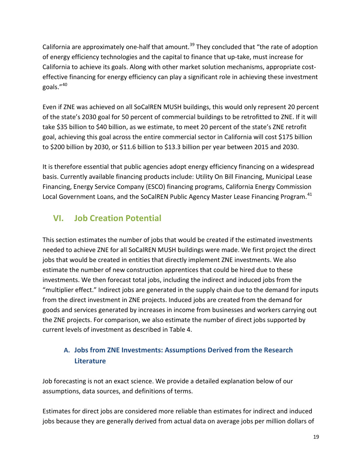California are approximately one-half that amount.<sup>[39](#page-32-29)</sup> They concluded that "the rate of adoption of energy efficiency technologies and the capital to finance that up-take, must increase for California to achieve its goals. Along with other market solution mechanisms, appropriate costeffective financing for energy efficiency can play a significant role in achieving these investment goals."[40](#page-32-30)

Even if ZNE was achieved on all SoCalREN MUSH buildings, this would only represent 20 percent of the state's 2030 goal for 50 percent of commercial buildings to be retrofitted to ZNE. If it will take \$35 billion to \$40 billion, as we estimate, to meet 20 percent of the state's ZNE retrofit goal, achieving this goal across the entire commercial sector in California will cost \$175 billion to \$200 billion by 2030, or \$11.6 billion to \$13.3 billion per year between 2015 and 2030.

It is therefore essential that public agencies adopt energy efficiency financing on a widespread basis. Currently available financing products include: Utility On Bill Financing, Municipal Lease Financing, Energy Service Company (ESCO) financing programs, California Energy Commission Local Government Loans, and the SoCalREN Public Agency Master Lease Financing Program.<sup>[41](#page-32-7)</sup>

## <span id="page-18-0"></span>**VI. Job Creation Potential**

This section estimates the number of jobs that would be created if the estimated investments needed to achieve ZNE for all SoCalREN MUSH buildings were made. We first project the direct jobs that would be created in entities that directly implement ZNE investments. We also estimate the number of new construction apprentices that could be hired due to these investments. We then forecast total jobs, including the indirect and induced jobs from the "multiplier effect." Indirect jobs are generated in the supply chain due to the demand for inputs from the direct investment in ZNE projects. Induced jobs are created from the demand for goods and services generated by increases in income from businesses and workers carrying out the ZNE projects. For comparison, we also estimate the number of direct jobs supported by current levels of investment as described in Table 4.

### <span id="page-18-1"></span>**A. Jobs from ZNE Investments: Assumptions Derived from the Research Literature**

Job forecasting is not an exact science. We provide a detailed explanation below of our assumptions, data sources, and definitions of terms.

Estimates for direct jobs are considered more reliable than estimates for indirect and induced jobs because they are generally derived from actual data on average jobs per million dollars of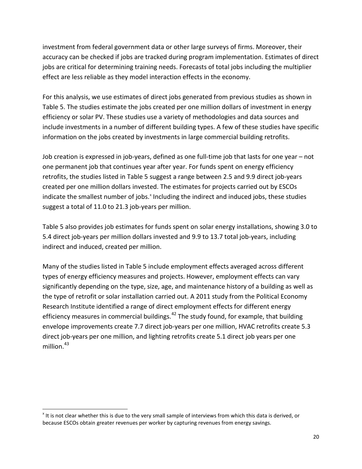investment from federal government data or other large surveys of firms. Moreover, their accuracy can be checked if jobs are tracked during program implementation. Estimates of direct jobs are critical for determining training needs. Forecasts of total jobs including the multiplier effect are less reliable as they model interaction effects in the economy.

For this analysis, we use estimates of direct jobs generated from previous studies as shown in Table 5. The studies estimate the jobs created per one million dollars of investment in energy efficiency or solar PV. These studies use a variety of methodologies and data sources and include investments in a number of different building types. A few of these studies have specific information on the jobs created by investments in large commercial building retrofits.

Job creation is expressed in job-years, defined as one full-time job that lasts for one year – not one permanent job that continues year after year. For funds spent on energy efficiency retrofits, the studies listed in Table 5 suggest a range between 2.5 and 9.9 direct job-years created per one million dollars invested. The estimates for projects carried out by ESCOs indicate the smallest number of jobs.<sup>[x](#page-19-0)</sup> Including the indirect and induced jobs, these studies suggest a total of 11.0 to 21.3 job-years per million.

Table 5 also provides job estimates for funds spent on solar energy installations, showing 3.0 to 5.4 direct job-years per million dollars invested and 9.9 to 13.7 total job-years, including indirect and induced, created per million.

Many of the studies listed in Table 5 include employment effects averaged across different types of energy efficiency measures and projects. However, employment effects can vary significantly depending on the type, size, age, and maintenance history of a building as well as the type of retrofit or solar installation carried out. A 2011 study from the Political Economy Research Institute identified a range of direct employment effects for different energy efficiency measures in commercial buildings. $42$  The study found, for example, that building envelope improvements create 7.7 direct job-years per one million, HVAC retrofits create 5.3 direct job-years per one million, and lighting retrofits create 5.1 direct job years per one million. $43$ 

 $\overline{a}$ 

<span id="page-19-0"></span><sup>x</sup> It is not clear whether this is due to the very small sample of interviews from which this data is derived, or because ESCOs obtain greater revenues per worker by capturing revenues from energy savings.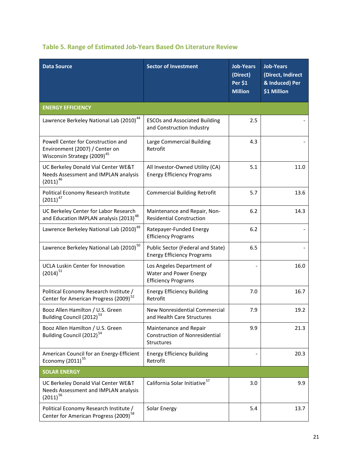| <b>Data Source</b>                                                                                              | <b>Sector of Investment</b>                                                       | <b>Job-Years</b><br>(Direct)<br>Per \$1<br><b>Million</b> | <b>Job-Years</b><br>(Direct, Indirect<br>& Induced) Per<br>\$1 Million |
|-----------------------------------------------------------------------------------------------------------------|-----------------------------------------------------------------------------------|-----------------------------------------------------------|------------------------------------------------------------------------|
| <b>ENERGY EFFICIENCY</b>                                                                                        |                                                                                   |                                                           |                                                                        |
| Lawrence Berkeley National Lab (2010) <sup>44</sup>                                                             | <b>ESCOs and Associated Building</b><br>and Construction Industry                 | 2.5                                                       |                                                                        |
| Powell Center for Construction and<br>Environment (2007) / Center on<br>Wisconsin Strategy (2009) <sup>45</sup> | Large Commercial Building<br>Retrofit                                             | 4.3                                                       |                                                                        |
| UC Berkeley Donald Vial Center WE&T<br>Needs Assessment and IMPLAN analysis<br>$(2011)^{46}$                    | All Investor-Owned Utility (CA)<br><b>Energy Efficiency Programs</b>              | 5.1                                                       | 11.0                                                                   |
| Political Economy Research Institute<br>$(2011)^{47}$                                                           | <b>Commercial Building Retrofit</b>                                               | 5.7                                                       | 13.6                                                                   |
| UC Berkeley Center for Labor Research<br>and Education IMPLAN analysis (2013) <sup>48</sup>                     | Maintenance and Repair, Non-<br><b>Residential Construction</b>                   | 6.2                                                       | 14.3                                                                   |
| Lawrence Berkeley National Lab (2010) <sup>49</sup>                                                             | Ratepayer-Funded Energy<br><b>Efficiency Programs</b>                             | 6.2                                                       |                                                                        |
| Lawrence Berkeley National Lab (2010) <sup>50</sup>                                                             | Public Sector (Federal and State)<br><b>Energy Efficiency Programs</b>            | 6.5                                                       |                                                                        |
| UCLA Luskin Center for Innovation<br>$(2014)^{51}$                                                              | Los Angeles Department of<br>Water and Power Energy<br><b>Efficiency Programs</b> |                                                           | 16.0                                                                   |
| Political Economy Research Institute /<br>Center for American Progress (2009) <sup>52</sup>                     | <b>Energy Efficiency Building</b><br>Retrofit                                     | 7.0                                                       | 16.7                                                                   |
| Booz Allen Hamilton / U.S. Green<br>Building Council (2012) <sup>53</sup>                                       | New Nonresidential Commercial<br>and Health Care Structures                       | 7.9                                                       | 19.2                                                                   |
| Booz Allen Hamilton / U.S. Green<br>Building Council (2012) <sup>54</sup>                                       | Maintenance and Repair<br><b>Construction of Nonresidential</b><br>Structures     | 9.9                                                       | 21.3                                                                   |
| American Council for an Energy-Efficient<br>Economy (2011) <sup>55</sup>                                        | <b>Energy Efficiency Building</b><br>Retrofit                                     |                                                           | 20.3                                                                   |
| <b>SOLAR ENERGY</b>                                                                                             |                                                                                   |                                                           |                                                                        |
| UC Berkeley Donald Vial Center WE&T<br>Needs Assessment and IMPLAN analysis<br>$(2011)^{56}$                    | California Solar Initiative <sup>57</sup>                                         | 3.0                                                       | 9.9                                                                    |
| Political Economy Research Institute /<br>Center for American Progress (2009) <sup>58</sup>                     | Solar Energy                                                                      | 5.4                                                       | 13.7                                                                   |

#### **Table 5. Range of Estimated Job-Years Based On Literature Review**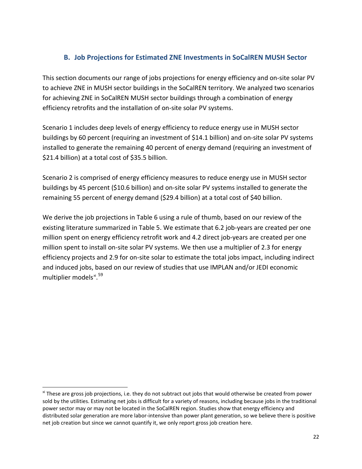#### **B. Job Projections for Estimated ZNE Investments in SoCalREN MUSH Sector**

<span id="page-21-0"></span>This section documents our range of jobs projections for energy efficiency and on-site solar PV to achieve ZNE in MUSH sector buildings in the SoCalREN territory. We analyzed two scenarios for achieving ZNE in SoCalREN MUSH sector buildings through a combination of energy efficiency retrofits and the installation of on-site solar PV systems.

Scenario 1 includes deep levels of energy efficiency to reduce energy use in MUSH sector buildings by 60 percent (requiring an investment of \$14.1 billion) and on-site solar PV systems installed to generate the remaining 40 percent of energy demand (requiring an investment of \$21.4 billion) at a total cost of \$35.5 billion.

Scenario 2 is comprised of energy efficiency measures to reduce energy use in MUSH sector buildings by 45 percent (\$10.6 billion) and on-site solar PV systems installed to generate the remaining 55 percent of energy demand (\$29.4 billion) at a total cost of \$40 billion.

We derive the job projections in Table 6 using a rule of thumb, based on our review of the existing literature summarized in Table 5. We estimate that 6.2 job-years are created per one million spent on energy efficiency retrofit work and 4.2 direct job-years are created per one million spent to install on-site solar PV systems. We then use a multiplier of 2.3 for energy efficiency projects and 2.9 for on-site solar to estimate the total jobs impact, including indirect and induced jobs, based on our review of studies that use IMPLAN and/or JEDI economic multiplier models<sup>[xi](#page-21-1)</sup>.<sup>[59](#page-32-43)</sup>

 $\overline{a}$ 

<span id="page-21-1"></span>x<sup>i</sup> These are gross job projections, i.e. they do not subtract out jobs that would otherwise be created from power sold by the utilities. Estimating net jobs is difficult for a variety of reasons, including because jobs in the traditional power sector may or may not be located in the SoCalREN region. Studies show that energy efficiency and distributed solar generation are more labor-intensive than power plant generation, so we believe there is positive net job creation but since we cannot quantify it, we only report gross job creation here.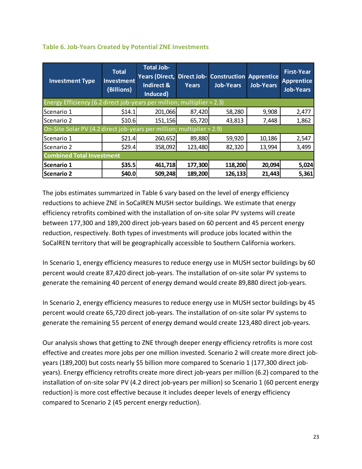| <b>Investment Type</b>                                                 | <b>Total</b><br><b>Investment</b><br>(Billions) | <b>Total Job-</b><br>Years (Direct, Direct Job-<br>Indirect &<br>Induced) | <b>Years</b> | <b>Construction Apprentice</b><br><b>Job-Years</b> | <b>Job-Years</b> | <b>First-Year</b><br><b>Apprentice</b><br><b>Job-Years</b> |
|------------------------------------------------------------------------|-------------------------------------------------|---------------------------------------------------------------------------|--------------|----------------------------------------------------|------------------|------------------------------------------------------------|
| Energy Efficiency (6.2 direct job-years per million; multiplier = 2.3) |                                                 |                                                                           |              |                                                    |                  |                                                            |
| lScenario 1                                                            | \$14.1                                          | 201,066                                                                   | 87,420       | 58,280                                             | 9,908            | 2,477                                                      |
| Scenario 2                                                             | \$10.6                                          | 151,156                                                                   | 65,720       | 43,813                                             | 7,448            | 1,862                                                      |
| On-Site Solar PV (4.2 direct job-years per million; multiplier = 2.9)  |                                                 |                                                                           |              |                                                    |                  |                                                            |
| Scenario 1                                                             | \$21.4                                          | 260,652                                                                   | 89,880       | 59,920                                             | 10,186           | 2,547                                                      |
| Scenario 2                                                             | \$29.4                                          | 358,092                                                                   | 123,480      | 82,320                                             | 13,994           | 3,499                                                      |
| <b>Combined Total Investment</b>                                       |                                                 |                                                                           |              |                                                    |                  |                                                            |
| Scenario 1                                                             | \$35.5                                          | 461,718                                                                   | 177,300      | 118,200                                            | 20,094           | 5,024                                                      |
| Scenario 2                                                             | \$40.0                                          | 509,248                                                                   | 189,200      | 126,133                                            | 21,443           | 5,361                                                      |

#### **Table 6. Job-Years Created by Potential ZNE Investments**

The jobs estimates summarized in Table 6 vary based on the level of energy efficiency reductions to achieve ZNE in SoCalREN MUSH sector buildings. We estimate that energy efficiency retrofits combined with the installation of on-site solar PV systems will create between 177,300 and 189,200 direct job-years based on 60 percent and 45 percent energy reduction, respectively. Both types of investments will produce jobs located within the SoCalREN territory that will be geographically accessible to Southern California workers.

In Scenario 1, energy efficiency measures to reduce energy use in MUSH sector buildings by 60 percent would create 87,420 direct job-years. The installation of on-site solar PV systems to generate the remaining 40 percent of energy demand would create 89,880 direct job-years.

In Scenario 2, energy efficiency measures to reduce energy use in MUSH sector buildings by 45 percent would create 65,720 direct job-years. The installation of on-site solar PV systems to generate the remaining 55 percent of energy demand would create 123,480 direct job-years.

Our analysis shows that getting to ZNE through deeper energy efficiency retrofits is more cost effective and creates more jobs per one million invested. Scenario 2 will create more direct jobyears (189,200) but costs nearly \$5 billion more compared to Scenario 1 (177,300 direct jobyears). Energy efficiency retrofits create more direct job-years per million (6.2) compared to the installation of on-site solar PV (4.2 direct job-years per million) so Scenario 1 (60 percent energy reduction) is more cost effective because it includes deeper levels of energy efficiency compared to Scenario 2 (45 percent energy reduction).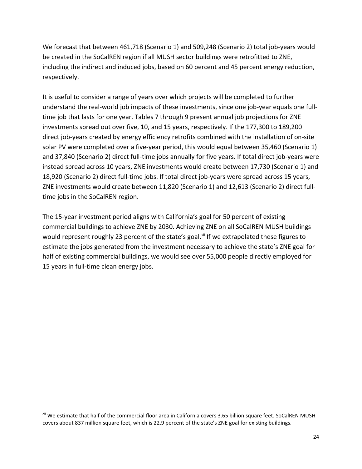We forecast that between 461,718 (Scenario 1) and 509,248 (Scenario 2) total job-years would be created in the SoCalREN region if all MUSH sector buildings were retrofitted to ZNE, including the indirect and induced jobs, based on 60 percent and 45 percent energy reduction, respectively.

It is useful to consider a range of years over which projects will be completed to further understand the real-world job impacts of these investments, since one job-year equals one fulltime job that lasts for one year. Tables 7 through 9 present annual job projections for ZNE investments spread out over five, 10, and 15 years, respectively. If the 177,300 to 189,200 direct job-years created by energy efficiency retrofits combined with the installation of on-site solar PV were completed over a five-year period, this would equal between 35,460 (Scenario 1) and 37,840 (Scenario 2) direct full-time jobs annually for five years. If total direct job-years were instead spread across 10 years, ZNE investments would create between 17,730 (Scenario 1) and 18,920 (Scenario 2) direct full-time jobs. If total direct job-years were spread across 15 years, ZNE investments would create between 11,820 (Scenario 1) and 12,613 (Scenario 2) direct fulltime jobs in the SoCalREN region.

The 15-year investment period aligns with California's goal for 50 percent of existing commercial buildings to achieve ZNE by 2030. Achieving ZNE on all SoCalREN MUSH buildings would represent roughly 23 percent of the state's goal.<sup>[xii](#page-23-0)</sup> If we extrapolated these figures to estimate the jobs generated from the investment necessary to achieve the state's ZNE goal for half of existing commercial buildings, we would see over 55,000 people directly employed for 15 years in full-time clean energy jobs.

 $\overline{a}$ 

<span id="page-23-0"></span>xii We estimate that half of the commercial floor area in California covers 3.65 billion square feet. SoCalREN MUSH covers about 837 million square feet, which is 22.9 percent of the state's ZNE goal for existing buildings.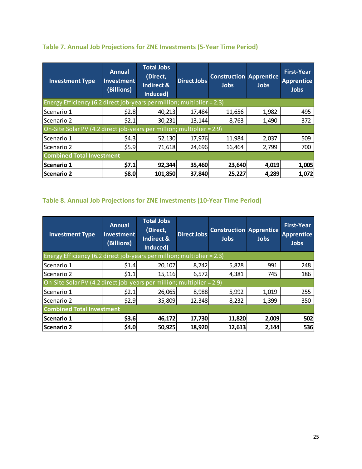| <b>Investment Type</b>                                                    | <b>Annual</b><br><b>Investment</b><br>(Billions) | <b>Total Jobs</b><br>(Direct,<br><b>Indirect &amp;</b><br>Induced) | <b>Direct Jobs</b> | <b>Construction Apprentice</b><br><b>Jobs</b> | <b>Jobs</b> | <b>First-Year</b><br><b>Apprentice</b><br><b>Jobs</b> |
|---------------------------------------------------------------------------|--------------------------------------------------|--------------------------------------------------------------------|--------------------|-----------------------------------------------|-------------|-------------------------------------------------------|
| Energy Efficiency (6.2 direct job-years per million; multiplier = $2.3$ ) |                                                  |                                                                    |                    |                                               |             |                                                       |
| Scenario 1                                                                | \$2.8                                            | 40,213                                                             | 17,484             | 11,656                                        | 1,982       | 495                                                   |
| Scenario 2                                                                | \$2.1                                            | 30,231                                                             | 13,144             | 8,763                                         | 1,490       | 372                                                   |
| On-Site Solar PV (4.2 direct job-years per million; multiplier = 2.9)     |                                                  |                                                                    |                    |                                               |             |                                                       |
| Scenario 1                                                                | \$4.3                                            | 52,130                                                             | 17,976             | 11,984                                        | 2,037       | 509                                                   |
| Scenario 2                                                                | \$5.9                                            | 71,618                                                             | 24,696             | 16,464                                        | 2,799       | 700                                                   |
| <b>Combined Total Investment</b>                                          |                                                  |                                                                    |                    |                                               |             |                                                       |
| Scenario 1                                                                | \$7.1                                            | 92,344                                                             | 35,460             | 23,640                                        | 4,019       | 1,005                                                 |
| Scenario 2                                                                | \$8.0                                            | 101,850                                                            | 37,840             | 25,227                                        | 4,289       | 1,072                                                 |

#### **Table 7. Annual Job Projections for ZNE Investments (5-Year Time Period)**

## **Table 8. Annual Job Projections for ZNE Investments (10-Year Time Period)**

| <b>Investment Type</b>                                                 | <b>Annual</b><br>Investment<br>(Billions) | <b>Total Jobs</b><br>(Direct,<br>Indirect &<br>Induced) | <b>Direct Jobs</b> | <b>Construction Apprentice</b><br><b>Jobs</b> | <b>Jobs</b> | <b>First-Year</b><br><b>Apprentice</b><br><b>Jobs</b> |
|------------------------------------------------------------------------|-------------------------------------------|---------------------------------------------------------|--------------------|-----------------------------------------------|-------------|-------------------------------------------------------|
| Energy Efficiency (6.2 direct job-years per million; multiplier = 2.3) |                                           |                                                         |                    |                                               |             |                                                       |
| lScenario 1                                                            | \$1.4                                     | 20,107                                                  | 8,742              | 5,828                                         | 991         | 248                                                   |
| Scenario 2                                                             | \$1.1                                     | 15,116                                                  | 6,572              | 4,381                                         | 745         | 186                                                   |
| On-Site Solar PV (4.2 direct job-years per million; multiplier = 2.9)  |                                           |                                                         |                    |                                               |             |                                                       |
| lScenario 1                                                            | \$2.1                                     | 26,065                                                  | 8,988              | 5,992                                         | 1,019       | 255                                                   |
| Scenario 2                                                             | \$2.9                                     | 35,809                                                  | 12,348             | 8,232                                         | 1,399       | 350                                                   |
| <b>Combined Total Investment</b>                                       |                                           |                                                         |                    |                                               |             |                                                       |
| Scenario 1                                                             | \$3.6                                     | 46,172                                                  | 17,730             | 11,820                                        | 2,009       | 502                                                   |
| <b>Scenario 2</b>                                                      | \$4.0                                     | 50,925                                                  | 18,920             | 12,613                                        | 2,144       | 536                                                   |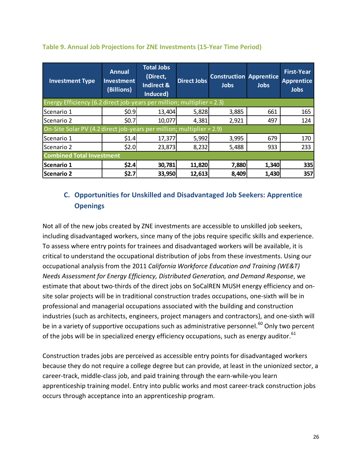| <b>Investment Type</b>                                                 | <b>Annual</b><br><b>Investment</b><br>(Billions) | <b>Total Jobs</b><br>(Direct,<br>Indirect &<br>Induced) | <b>Direct Jobs</b> | <b>Construction Apprentice</b><br><b>Jobs</b> | <b>Jobs</b> | <b>First-Year</b><br><b>Apprentice</b><br><b>Jobs</b> |  |
|------------------------------------------------------------------------|--------------------------------------------------|---------------------------------------------------------|--------------------|-----------------------------------------------|-------------|-------------------------------------------------------|--|
| Energy Efficiency (6.2 direct job-years per million; multiplier = 2.3) |                                                  |                                                         |                    |                                               |             |                                                       |  |
| lScenario 1                                                            | \$0.9                                            | 13,404                                                  | 5,828              | 3,885                                         | 661         | 165                                                   |  |
| <b>Scenario 2</b>                                                      | \$0.7                                            | 10,077                                                  | 4,381              | 2,921                                         | 497         | 124                                                   |  |
| On-Site Solar PV (4.2 direct job-years per million; multiplier = 2.9)  |                                                  |                                                         |                    |                                               |             |                                                       |  |
| Scenario 1                                                             | \$1.4                                            | 17,377                                                  | 5,992              | 3,995                                         | 679         | 170                                                   |  |
| Scenario 2                                                             | \$2.0                                            | 23,873                                                  | 8,232              | 5,488                                         | 933         | 233                                                   |  |
|                                                                        | <b>Combined Total Investment</b>                 |                                                         |                    |                                               |             |                                                       |  |
| Scenario 1                                                             | \$2.4                                            | 30,781                                                  | 11,820             | 7,880                                         | 1,340       | 335                                                   |  |
| Scenario 2                                                             | \$2.7                                            | 33,950                                                  | 12,613             | 8,409                                         | 1,430       | 357                                                   |  |

#### **Table 9. Annual Job Projections for ZNE Investments (15-Year Time Period)**

#### <span id="page-25-0"></span>**C. Opportunities for Unskilled and Disadvantaged Job Seekers: Apprentice Openings**

Not all of the new jobs created by ZNE investments are accessible to unskilled job seekers, including disadvantaged workers, since many of the jobs require specific skills and experience. To assess where entry points for trainees and disadvantaged workers will be available, it is critical to understand the occupational distribution of jobs from these investments. Using our occupational analysis from the 2011 *California Workforce Education and Training (WE&T) Needs Assessment for Energy Efficiency, Distributed Generation, and Demand Response*, we estimate that about two-thirds of the direct jobs on SoCalREN MUSH energy efficiency and onsite solar projects will be in traditional construction trades occupations, one-sixth will be in professional and managerial occupations associated with the building and construction industries (such as architects, engineers, project managers and contractors), and one-sixth will be in a variety of supportive occupations such as administrative personnel.<sup>[60](#page-32-44)</sup> Only two percent of the jobs will be in specialized energy efficiency occupations, such as energy auditor.<sup>[61](#page-32-45)</sup>

Construction trades jobs are perceived as accessible entry points for disadvantaged workers because they do not require a college degree but can provide, at least in the unionized sector, a career-track, middle-class job, and paid training through the earn-while-you learn apprenticeship training model. Entry into public works and most career-track construction jobs occurs through acceptance into an apprenticeship program.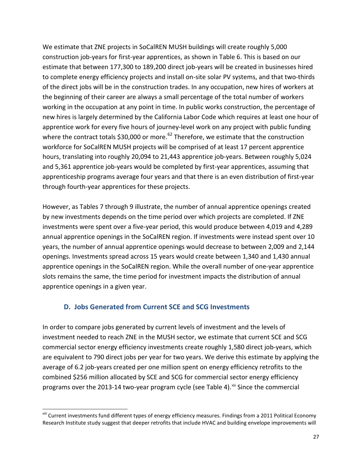We estimate that ZNE projects in SoCalREN MUSH buildings will create roughly 5,000 construction job-years for first-year apprentices, as shown in Table 6. This is based on our estimate that between 177,300 to 189,200 direct job-years will be created in businesses hired to complete energy efficiency projects and install on-site solar PV systems, and that two-thirds of the direct jobs will be in the construction trades. In any occupation, new hires of workers at the beginning of their career are always a small percentage of the total number of workers working in the occupation at any point in time. In public works construction, the percentage of new hires is largely determined by the California Labor Code which requires at least one hour of apprentice work for every five hours of journey-level work on any project with public funding where the contract totals \$30,000 or more.<sup>[62](#page-32-46)</sup> Therefore, we estimate that the construction workforce for SoCalREN MUSH projects will be comprised of at least 17 percent apprentice hours, translating into roughly 20,094 to 21,443 apprentice job-years. Between roughly 5,024 and 5,361 apprentice job-years would be completed by first-year apprentices, assuming that apprenticeship programs average four years and that there is an even distribution of first-year through fourth-year apprentices for these projects.

However, as Tables 7 through 9 illustrate, the number of annual apprentice openings created by new investments depends on the time period over which projects are completed. If ZNE investments were spent over a five-year period, this would produce between 4,019 and 4,289 annual apprentice openings in the SoCalREN region. If investments were instead spent over 10 years, the number of annual apprentice openings would decrease to between 2,009 and 2,144 openings. Investments spread across 15 years would create between 1,340 and 1,430 annual apprentice openings in the SoCalREN region. While the overall number of one-year apprentice slots remains the same, the time period for investment impacts the distribution of annual apprentice openings in a given year.

#### **D. Jobs Generated from Current SCE and SCG Investments**

 $\overline{a}$ 

<span id="page-26-0"></span>In order to compare jobs generated by current levels of investment and the levels of investment needed to reach ZNE in the MUSH sector, we estimate that current SCE and SCG commercial sector energy efficiency investments create roughly 1,580 direct job-years, which are equivalent to 790 direct jobs per year for two years. We derive this estimate by applying the average of 6.2 job-years created per one million spent on energy efficiency retrofits to the combined \$256 million allocated by SCE and SCG for commercial sector energy efficiency programs over the 2013-14 two-year program cycle (see Table 4). Xiii Since the commercial

<span id="page-26-1"></span>xiii Current investments fund different types of energy efficiency measures. Findings from a 2011 Political Economy Research Institute study suggest that deeper retrofits that include HVAC and building envelope improvements will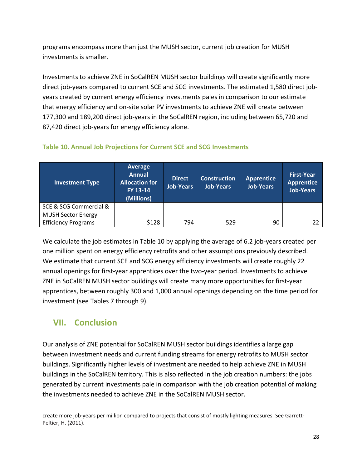programs encompass more than just the MUSH sector, current job creation for MUSH investments is smaller.

Investments to achieve ZNE in SoCalREN MUSH sector buildings will create significantly more direct job-years compared to current SCE and SCG investments. The estimated 1,580 direct jobyears created by current energy efficiency investments pales in comparison to our estimate that energy efficiency and on-site solar PV investments to achieve ZNE will create between 177,300 and 189,200 direct job-years in the SoCalREN region, including between 65,720 and 87,420 direct job-years for energy efficiency alone.

| <b>Investment Type</b>     | Average<br><b>Annual</b><br><b>Allocation for</b><br>FY 13-14<br>(Millions) | <b>Direct</b><br><b>Job-Years</b> | <b>Construction</b><br><b>Job-Years</b> | <b>Apprentice</b><br>Job-Years | <b>First-Year</b><br><b>Apprentice</b><br><b>Job-Years</b> |
|----------------------------|-----------------------------------------------------------------------------|-----------------------------------|-----------------------------------------|--------------------------------|------------------------------------------------------------|
| SCE & SCG Commercial &     |                                                                             |                                   |                                         |                                |                                                            |
| <b>MUSH Sector Energy</b>  |                                                                             |                                   |                                         |                                |                                                            |
| <b>Efficiency Programs</b> | \$128                                                                       | 794                               | 529                                     | 90                             | 22                                                         |

#### **Table 10. Annual Job Projections for Current SCE and SCG Investments**

We calculate the job estimates in Table 10 by applying the average of 6.2 job-years created per one million spent on energy efficiency retrofits and other assumptions previously described. We estimate that current SCE and SCG energy efficiency investments will create roughly 22 annual openings for first-year apprentices over the two-year period. Investments to achieve ZNE in SoCalREN MUSH sector buildings will create many more opportunities for first-year apprentices, between roughly 300 and 1,000 annual openings depending on the time period for investment (see Tables 7 through 9).

## <span id="page-27-0"></span>**VII. Conclusion**

 $\overline{a}$ 

Our analysis of ZNE potential for SoCalREN MUSH sector buildings identifies a large gap between investment needs and current funding streams for energy retrofits to MUSH sector buildings. Significantly higher levels of investment are needed to help achieve ZNE in MUSH buildings in the SoCalREN territory. This is also reflected in the job creation numbers: the jobs generated by current investments pale in comparison with the job creation potential of making the investments needed to achieve ZNE in the SoCalREN MUSH sector.

create more job-years per million compared to projects that consist of mostly lighting measures. See Garrett-Peltier, H. (2011).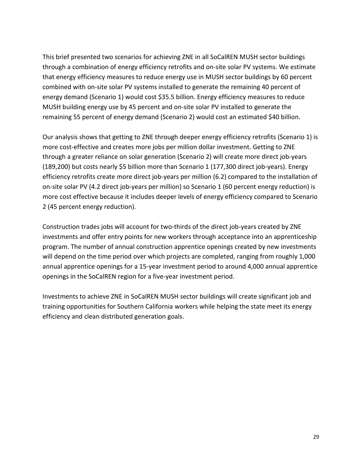This brief presented two scenarios for achieving ZNE in all SoCalREN MUSH sector buildings through a combination of energy efficiency retrofits and on-site solar PV systems. We estimate that energy efficiency measures to reduce energy use in MUSH sector buildings by 60 percent combined with on-site solar PV systems installed to generate the remaining 40 percent of energy demand (Scenario 1) would cost \$35.5 billion. Energy efficiency measures to reduce MUSH building energy use by 45 percent and on-site solar PV installed to generate the remaining 55 percent of energy demand (Scenario 2) would cost an estimated \$40 billion.

Our analysis shows that getting to ZNE through deeper energy efficiency retrofits (Scenario 1) is more cost-effective and creates more jobs per million dollar investment. Getting to ZNE through a greater reliance on solar generation (Scenario 2) will create more direct job-years (189,200) but costs nearly \$5 billion more than Scenario 1 (177,300 direct job-years). Energy efficiency retrofits create more direct job-years per million (6.2) compared to the installation of on-site solar PV (4.2 direct job-years per million) so Scenario 1 (60 percent energy reduction) is more cost effective because it includes deeper levels of energy efficiency compared to Scenario 2 (45 percent energy reduction).

Construction trades jobs will account for two-thirds of the direct job-years created by ZNE investments and offer entry points for new workers through acceptance into an apprenticeship program. The number of annual construction apprentice openings created by new investments will depend on the time period over which projects are completed, ranging from roughly 1,000 annual apprentice openings for a 15-year investment period to around 4,000 annual apprentice openings in the SoCalREN region for a five-year investment period.

Investments to achieve ZNE in SoCalREN MUSH sector buildings will create significant job and training opportunities for Southern California workers while helping the state meet its energy efficiency and clean distributed generation goals.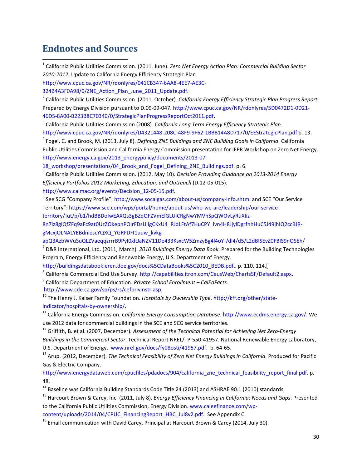## **Endnotes and Sources**

 1 California Public Utilities Commission. (2011, June). *Zero Net Energy Action Plan: Commercial Building Sector 2010-2012*. Update to California Energy Efficiency Strategic Plan.

[324B4A3F0A98/0/ZNE\\_Action\\_Plan\\_June\\_2011\\_Update.pdf.](http://www.cpuc.ca.gov/NR/rdonlyres/041CB347-6AA8-4EE7-AE3C-324B4A3F0A98/0/ZNE_Action_Plan_June_2011_Update.pdf) [2](http://www.cpuc.ca.gov/NR/rdonlyres/041CB347-6AA8-4EE7-AE3C-324B4A3F0A98/0/ZNE_Action_Plan_June_2011_Update.pdf) California Public Utilities Commission. (2011, October). *California Energy Efficiency Strategic Plan Progress Report*. Prepared by Energy Division pursuant to D.09-09-047. [http://www.cpuc.ca.gov/NR/rdonlyres/5D0472D1-0D21-](http://www.cpuc.ca.gov/NR/rdonlyres/5D0472D1-0D21-46D5-8A00-B223B8C70340/0/StrategicPlanProgressReportOct2011.pdf) [46D5-8A00-B223B8C70340/0/StrategicPlanProgressReportOct2011.pdf.](http://www.cpuc.ca.gov/NR/rdonlyres/5D0472D1-0D21-46D5-8A00-B223B8C70340/0/StrategicPlanProgressReportOct2011.pdf)

<sup>3</sup> California Public Utilities Commission (2008). *California Long Term Energy Efficiency Strategic Plan*. <http://www.cpuc.ca.gov/NR/rdonlyres/D4321448-208C-48F9-9F62-1BBB14A8D717/0/EEStrategicPlan.pdf> p. 13.

<sup>4</sup> Fogel, C. and Brook, M. (2013, July 8). *Defining ZNE Buildings and ZNE Building Goals in California*. California Public Utilities Commission and California Energy Commission presentation for IEPR Workshop on Zero Net Energy. [http://www.energy.ca.gov/2013\\_energypolicy/documents/2013-07-](http://www.energy.ca.gov/2013_energypolicy/documents/2013-07-18_workshop/presentations/04_Brook_and_Fogel_Defining_ZNE_Buildings.pdf)

18 workshop/presentations/04 Brook and Fogel Defining ZNE Buildings.pdf. p. 6.

<sup>5</sup> California Public Utilities Commission. (2012, May 10). *Decision Providing Guidance on 2013-2014 Energy Efficiency Portfolios 2012 Marketing, Education, and Outreach* (D.12-05-015).

http://www.calmac.org/events/Decision\_12-05-15.pdf.<br><sup>6</sup> See SCG "Company Profile":<http://www.socalgas.com/about-us/company-info.shtml> and SCE "Our Service Territory": [https://www.sce.com/wps/portal/home/about-us/who-we-are/leadership/our-service-](https://www.sce.com/wps/portal/home/about-us/who-we-are/leadership/our-service-territory/!ut/p/b1/hdBBDoIwEAXQs3gBZqQFZVmElGLUiCRgNwYMVhSpQWOvLyRuXIiz-8n7iz8gIQfZFq9aFc9at0UzZOkepnPOIrFDsUlIgCKxU4_RJdLFtAf7HuCPY_ivn4H8JjylDgrfnhHuC5J49jhIQ2ccBJR-gMcxjOLNALYEBdniescYQXQ_YGRFDFI1uuw_kvkg-apQ3AzbWVuSuQLZVaeqqzrrrB9PyI0xltJaNZV11De433KsxcW5ZmzyBg4l4oY!/dl4/d5/L2dBISEvZ0FBIS9nQSEh/)

[territory/!ut/p/b1/hdBBDoIwEAXQs3gBZqQFZVmElGLUiCRgNwYMVhSpQWOvLyRuXIiz-](https://www.sce.com/wps/portal/home/about-us/who-we-are/leadership/our-service-territory/!ut/p/b1/hdBBDoIwEAXQs3gBZqQFZVmElGLUiCRgNwYMVhSpQWOvLyRuXIiz-8n7iz8gIQfZFq9aFc9at0UzZOkepnPOIrFDsUlIgCKxU4_RJdLFtAf7HuCPY_ivn4H8JjylDgrfnhHuC5J49jhIQ2ccBJR-gMcxjOLNALYEBdniescYQXQ_YGRFDFI1uuw_kvkg-apQ3AzbWVuSuQLZVaeqqzrrrB9PyI0xltJaNZV11De433KsxcW5ZmzyBg4l4oY!/dl4/d5/L2dBISEvZ0FBIS9nQSEh/)

[8n7iz8gIQfZFq9aFc9at0UzZOkepnPOIrFDsUlIgCKxU4\\_RJdLFtAf7HuCPY\\_ivn4H8JjylDgrfnhHuC5J49jhIQ2ccBJR](https://www.sce.com/wps/portal/home/about-us/who-we-are/leadership/our-service-territory/!ut/p/b1/hdBBDoIwEAXQs3gBZqQFZVmElGLUiCRgNwYMVhSpQWOvLyRuXIiz-8n7iz8gIQfZFq9aFc9at0UzZOkepnPOIrFDsUlIgCKxU4_RJdLFtAf7HuCPY_ivn4H8JjylDgrfnhHuC5J49jhIQ2ccBJR-gMcxjOLNALYEBdniescYQXQ_YGRFDFI1uuw_kvkg-apQ3AzbWVuSuQLZVaeqqzrrrB9PyI0xltJaNZV11De433KsxcW5ZmzyBg4l4oY!/dl4/d5/L2dBISEvZ0FBIS9nQSEh/)[gMcxjOLNALYEBdniescYQXQ\\_YGRFDFI1uuw\\_kvkg-](https://www.sce.com/wps/portal/home/about-us/who-we-are/leadership/our-service-territory/!ut/p/b1/hdBBDoIwEAXQs3gBZqQFZVmElGLUiCRgNwYMVhSpQWOvLyRuXIiz-8n7iz8gIQfZFq9aFc9at0UzZOkepnPOIrFDsUlIgCKxU4_RJdLFtAf7HuCPY_ivn4H8JjylDgrfnhHuC5J49jhIQ2ccBJR-gMcxjOLNALYEBdniescYQXQ_YGRFDFI1uuw_kvkg-apQ3AzbWVuSuQLZVaeqqzrrrB9PyI0xltJaNZV11De433KsxcW5ZmzyBg4l4oY!/dl4/d5/L2dBISEvZ0FBIS9nQSEh/)

[apQ3AzbWVuSuQLZVaeqqzrrrB9PyI0xltJaNZV11De433KsxcW5ZmzyBg4l4oY!/dl4/d5/L2dBISEvZ0FBIS9nQSEh/](https://www.sce.com/wps/portal/home/about-us/who-we-are/leadership/our-service-territory/!ut/p/b1/hdBBDoIwEAXQs3gBZqQFZVmElGLUiCRgNwYMVhSpQWOvLyRuXIiz-8n7iz8gIQfZFq9aFc9at0UzZOkepnPOIrFDsUlIgCKxU4_RJdLFtAf7HuCPY_ivn4H8JjylDgrfnhHuC5J49jhIQ2ccBJR-gMcxjOLNALYEBdniescYQXQ_YGRFDFI1uuw_kvkg-apQ3AzbWVuSuQLZVaeqqzrrrB9PyI0xltJaNZV11De433KsxcW5ZmzyBg4l4oY!/dl4/d5/L2dBISEvZ0FBIS9nQSEh/)

<sup>7</sup> D&R International, Ltd. (2011, March). *2010 Buildings Energy Data Book*. Prepared for the Building Technologies Program, Energy Efficiency and Renewable Energy, U.S. Department of Energy.

```
http://buildingsdatabook.eren.doe.gov/docs%5CDataBooks%5C2010_BEDB.pdf.. p. 110, 114.[
```
<sup>8</sup> California Commercial End Use Survey. [http://capabilities.itron.com/CeusWeb/ChartsSF/Default2.aspx.](http://capabilities.itron.com/CeusWeb/ChartsSF/Default2.aspx)<br><sup>9</sup> California Department of Education. *Private School Enrollment – CalEdFacts.* 

[http://www.cde.ca.gov/sp/ps/rs/cefprivinstr.asp.](http://www.cde.ca.gov/sp/ps/rs/cefprivinstr.asp)<br><sup>[10](http://www.cde.ca.gov/sp/ps/rs/cefprivinstr.asp)</sup> The Henry J. Kaiser Family Foundation. *Hospitals by Ownership Type*. [http://kff.org/other/state](http://kff.org/other/state-indicator/hospitals-by-ownership/)[indicator/hospitals-by-ownership/.](http://kff.org/other/state-indicator/hospitals-by-ownership/)<br><sup>[11](http://kff.org/other/state-indicator/hospitals-by-ownership/)</sup> California Energy Commission. *California Energy Consumption Database*. [http://www.ecdms.energy.ca.gov/.](http://www.ecdms.energy.ca.gov/) We

use 2012 data for commercial buildings in the SCE and SCG service territories.

<sup>12</sup> Griffith, B. et al. (2007, December). *Assessment of the Technical Potential for Achieving Net Zero-Energy* 

*Buildings in the Commercial Sector*. Technical Report NREL/TP-550-41957. National Renewable Energy Laboratory, U.S. Department of Energy. [www.nrel.gov/docs/fy08osti/41957.pdf.](http://www.nrel.gov/docs/fy08osti/41957.pdf) p. 64-65.

<sup>13</sup> Arup. (2012, December). *The Technical Feasibility of Zero Net Energy Buildings in California*. Produced for Pacific Gas & Electric Company.

[http://www.energydataweb.com/cpucfiles/pdadocs/904/california\\_zne\\_technical\\_feasibility\\_report\\_final.pdf.](http://www.energydataweb.com/cpucfiles/pdadocs/904/california_zne_technical_feasibility_report_final.pdf) p. 48.

<sup>14</sup> Baseline was California Building Standards Code Title 24 (2013) and ASHRAE [90.1](http://www.nrel.gov/docs/fy08osti/41957.pdf) (2010) standards.

<sup>15</sup> Harcourt Brown & Carey, Inc. (2011, July 8). *Energy Efficiency Financing in California: Needs and Gaps*. Presented to the California Public Utilities Commission, Energy Division. [www.caleefinance.com/wp-](http://www.caleefinance.com/wp-content/uploads/2014/04/CPUC_FinancingReport_HBC_Jul8v2.pdf)

[content/uploads/2014/04/CPUC\\_FinancingReport\\_HBC\\_Jul8v2.pdf.](http://www.caleefinance.com/wp-content/uploads/2014/04/CPUC_FinancingReport_HBC_Jul8v2.pdf) See Appendix C.

 $16$  Email communication with David Carey, Principal at Harcourt Brown & Carey (2014, July 30).

[http://www.cpuc.ca.gov/NR/rdonlyres/041CB347-6AA8-4EE7-AE3C-](http://www.cpuc.ca.gov/NR/rdonlyres/041CB347-6AA8-4EE7-AE3C-324B4A3F0A98/0/ZNE_Action_Plan_June_2011_Update.pdf)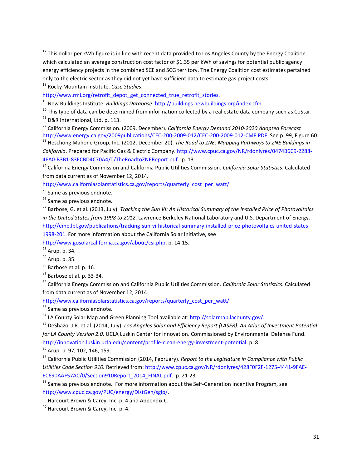<span id="page-30-0"></span> $17$  This dollar per kWh figure is in line with recent data provided to Los Angeles County by the Energy Coalition which calculated an average construction cost factor of \$1.35 per kWh of savings for potential public agency energy efficiency projects in the combined SCE and SCG territory. The Energy Coalition cost estimates pertained only to the electric sector as they did not yet have sufficient data to estimate gas project costs.

<sup>18</sup> Rocky Mountain Institute. *Case Studies*.

[http://www.rmi.org/retrofit\\_depot\\_get\\_connected\\_true\\_retrofit\\_stories.](http://www.rmi.org/retrofit_depot_get_connected_true_retrofit_stories)

<span id="page-30-1"></span><sup>19</sup> New Buildings Institute. *Buildings Database*. [http://buildings.newbuildings.org/index.cfm.](http://buildings.newbuildings.org/index.cfm)

<sup>20</sup> This type of data can be determined from information collected by a real estate data company such as CoStar.

<sup>21</sup> D&R International, Ltd. p. 113.

<span id="page-30-2"></span><sup>22</sup> California Energy Commission. (2009, December). *California Energy Demand 2010-2020 Adopted Forecast* [http://www.energy.ca.gov/2009publications/CEC-200-2009-012/CEC-200-2009-012-CMF.PDF.](http://www.energy.ca.gov/2009publications/CEC-200-2009-012/CEC-200-2009-012-CMF.PDF) See p. 99, Figure 60. <sup>23</sup> Heschong Mahone Group, Inc. (2012, December 20). *The Road to ZNE: Mapping Pathways to ZNE Buildings in* 

<span id="page-30-3"></span>*California*. Prepared for Pacific Gas & Electric Company[. http://www.cpuc.ca.gov/NR/rdonlyres/0474B6C9-2288-](http://www.cpuc.ca.gov/NR/rdonlyres/0474B6C9-2288-4EA0-B3B1-83ECBD4C70A4/0/TheRoadtoZNEReport.pdf) [4EA0-B3B1-83ECBD4C70A4/0/TheRoadtoZNEReport.pdf.](http://www.cpuc.ca.gov/NR/rdonlyres/0474B6C9-2288-4EA0-B3B1-83ECBD4C70A4/0/TheRoadtoZNEReport.pdf) p. 13.

<sup>24</sup> California Energy Commission and California Public Utilities Commission. *California Solar Statistics*. Calculated from data current as of November 12, 2014.

[http://www.californiasolarstatistics.ca.gov/reports/quarterly\\_cost\\_per\\_watt/.](http://www.californiasolarstatistics.ca.gov/reports/quarterly_cost_per_watt/)

<sup>25</sup> Same as previous endnote.

<sup>26</sup> Same as previous endnote.

<sup>27</sup> Barbose, G. et al. (2013, July). *Tracking the Sun VI: An Historical Summary of the Installed Price of Photovoltaics in the United States from 1998 to 2012*. Lawrence Berkeley National Laboratory and U.S. Department of Energy. [http://emp.lbl.gov/publications/tracking-sun-vi-historical-summary-installed-price-photovoltaics-united-states-](http://emp.lbl.gov/publications/tracking-sun-vi-historical-summary-installed-price-photovoltaics-united-states-1998-201)[1998-201.](http://emp.lbl.gov/publications/tracking-sun-vi-historical-summary-installed-price-photovoltaics-united-states-1998-201) For more information about the California Solar Initiative, see

[http://www.gosolarcalifornia.ca.gov/about/csi.php.](http://www.gosolarcalifornia.ca.gov/about/csi.php) p. 14-15.

<sup>28</sup> Arup. p. 34.

- <sup>29</sup> Arup. p. 35.
- <sup>30</sup> Barbose et al. p. 16.

 $31$  Barbose et al. p. 33-34.

<sup>32</sup> California Energy Commission and California Public Utilities Commission. *California Solar Statistics*. Calculated from data current as of November 12, 2014.

[http://www.californiasolarstatistics.ca.gov/reports/quarterly\\_cost\\_per\\_watt/.](http://www.californiasolarstatistics.ca.gov/reports/quarterly_cost_per_watt/)

 $33$  Same as previous endnote.

<sup>34</sup> LA County Solar Map and Green Planning Tool available at: [http://solarmap.lacounty.gov/.](http://solarmap.lacounty.gov/)

<sup>35</sup> DeShazo, J.R. et al. (2014, July). *Los Angeles Solar and Efficiency Report (LASER): An Atlas of Investment Potential for LA County Version 2.0*. UCLA Luskin Center for Innovation. Commissioned by Environmental Defense Fund. [http://innovation.luskin.ucla.edu/content/profile-clean-energy-investment-potential.](http://innovation.luskin.ucla.edu/content/profile-clean-energy-investment-potential) p. 8.

<sup>36</sup> Arup. p. 97, 102, 146, 159.

<sup>37</sup> California Public Utilities Commission (2014, February). *Report to the Legislature in Compliance with Public Utilities Code Section 910.* Retrieved from[: http://www.cpuc.ca.gov/NR/rdonlyres/428F0F2F-1275-4441-9FAE-](http://www.cpuc.ca.gov/NR/rdonlyres/428F0F2F-1275-4441-9FAE-EC690AAF57AC/0/Section910Report_2014_FINAL.pdf)[EC690AAF57AC/0/Section910Report\\_2014\\_FINAL.pdf.](http://www.cpuc.ca.gov/NR/rdonlyres/428F0F2F-1275-4441-9FAE-EC690AAF57AC/0/Section910Report_2014_FINAL.pdf) p. 21-23.

 $38$  Same as previous endnote. For more information about the Self-Generation Incentive Program, see [http://www.cpuc.ca.gov/PUC/energy/DistGen/sgip/.](http://www.cpuc.ca.gov/PUC/energy/DistGen/sgip/)<br><sup>[39](http://www.cpuc.ca.gov/PUC/energy/DistGen/sgip/)</sup> Harcourt Brown & Carey, Inc. p. 4 and Appendix C.

<sup>40</sup> Harcourt Brown & Carey, Inc. p. 4.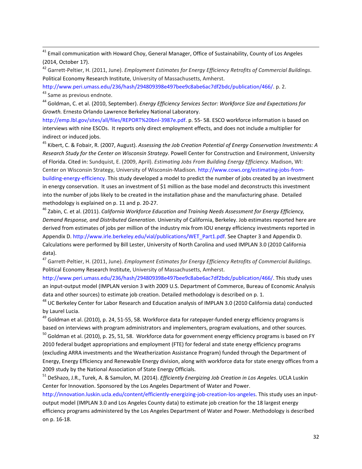<sup>41</sup> Email communication with Howard Choy, General Manager, Office of Sustainability, County of Los Angeles (2014, October 17).

<sup>42</sup> Garrett-Peltier, H. (2011, June). *Employment Estimates for Energy Efficiency Retrofits of Commercial Buildings*. Political Economy Research Institute, University of Massachusetts, Amherst.

[http://www.peri.umass.edu/236/hash/294809398e497bee9c8abe6ac7df2bdc/publication/466/.](http://www.peri.umass.edu/236/hash/294809398e497bee9c8abe6ac7df2bdc/publication/466/) p. 2. 43 Same as previous endnote.

<sup>44</sup> Goldman, C. et al. (2010, September). *Energy Efficiency Services Sector: Workforce Size and Expectations for Growth.* Ernesto Orlando Lawrence Berkeley National Laboratory.

[http://emp.lbl.gov/sites/all/files/REPORT%20bnl-3987e.pdf.](http://emp.lbl.gov/sites/all/files/REPORT%20bnl-3987e.pdf) p. 55- 58. ESCO workforce information is based on interviews with nine ESCOs. It reports only direct employment effects, and does not include a multiplier for indirect or induced jobs.

<span id="page-31-0"></span><sup>45</sup> Kibert, C. & Fobair, R. (2007, August). *Assessing the Job Creation Potential of Energy Conservation Investments: A Research Study for the Center on Wisconsin Strategy*. Powell Center for Construction and Environment, University of Florida. Cited in: Sundquist, E. (2009, April). *Estimating Jobs From Building Energy Efficiency.* Madison, WI: Center on Wisconsin Strategy, University of Wisconsin-Madison. [http://www.cows.org/estimating-jobs-from](http://www.cows.org/estimating-jobs-from-building-energy-efficiency)[building-energy-efficiency.](http://www.cows.org/estimating-jobs-from-building-energy-efficiency) This study developed a model to predict the number of jobs created by an investment in energy conservation. It uses an investment of \$1 million as the base model and deconstructs this investment into the number of jobs likely to be created in the installation phase and the manufacturing phase. Detailed methodology is explained on p. 11 and p. 20-27.

<span id="page-31-1"></span><sup>46</sup> Zabin, C. et al. (2011). *California Workforce Education and Training Needs Assessment for Energy Efficiency, Demand Response, and Distributed Generation*. University of California, Berkeley. Job estimates reported here are derived from estimates of jobs per million of the industry mix from IOU energy efficiency investments reported in Appendix D[. http://www.irle.berkeley.edu/vial/publications/WET\\_Part1.pdf.](http://www.irle.berkeley.edu/vial/publications/WET_Part1.pdf) See Chapter 3 and Appendix D. Calculations were performed by Bill Lester, University of North Carolina and used IMPLAN 3.0 (2010 California data).

<span id="page-31-2"></span><sup>47</sup> Garrett-Peltier, H. (2011, June). *Employment Estimates for Energy Efficiency Retrofits of Commercial Buildings*. Political Economy Research Institute, University of Massachusetts, Amherst.

<span id="page-31-4"></span><span id="page-31-3"></span>[http://www.peri.umass.edu/236/hash/294809398e497bee9c8abe6ac7df2bdc/publication/466/.](http://www.peri.umass.edu/236/hash/294809398e497bee9c8abe6ac7df2bdc/publication/466/) This study uses an input-output model (IMPLAN version 3 with 2009 U.S. Department of Commerce, Bureau of Economic Analysis data and other sources) to estimate job creation. Detailed methodology is described on p. 1.

<sup>48</sup> UC Berkeley Center for Labor Research and Education analysis of IMPLAN 3.0 (2010 California data) conducted by Laurel Lucia.

<sup>49</sup> Goldman et al. (2010), p. 24, 51-55, 58. Workforce data for ratepayer-funded energy efficiency programs is based on interviews with program administrators and implementers, program evaluations, and other sources.

 $^{50}$  Goldman et al. (2010), p. 25, 51, 58. Workforce data for government energy efficiency programs is based on FY 2010 federal budget appropriations and employment (FTE) for federal and state energy efficiency programs (excluding ARRA investments and the Weatherization Assistance Program) funded through the Department of Energy, Energy Efficiency and Renewable Energy division, along with workforce data for state energy offices from a 2009 study by the National Association of State Energy Officials.

<sup>51</sup> DeShazo, J.R., Turek, A. & Samulon, M. (2014). *Efficiently Energizing Job Creation in Los Angeles*. UCLA Luskin Center for Innovation. Sponsored by the Los Angeles Department of Water and Power.

[http://innovation.luskin.ucla.edu/content/efficiently-energizing-job-creation-los-angeles.](http://innovation.luskin.ucla.edu/content/efficiently-energizing-job-creation-los-angeles) This study uses an inputoutput model (IMPLAN 3.0 and Los Angeles County data) to estimate job creation for the 18 largest energy efficiency programs administered by the Los Angeles Department of Water and Power. Methodology is described on p. 16-18.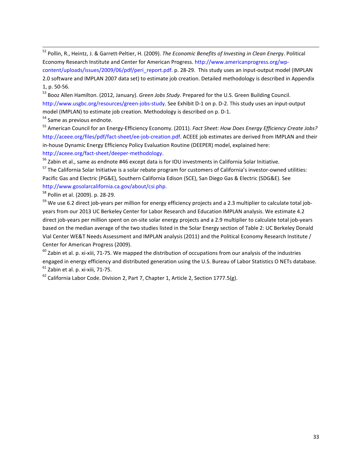<span id="page-32-31"></span><span id="page-32-7"></span> 52 Pollin, R., Heintz, J. & Garrett-Peltier, H. (2009). *The Economic Benefits of Investing in Clean Energ*y. Political Economy Research Institute and Center for American Progress[. http://www.americanprogress.org/wp](http://www.americanprogress.org/wp-content/uploads/issues/2009/06/pdf/peri_report.pdf)[content/uploads/issues/2009/06/pdf/peri\\_report.pdf.](http://www.americanprogress.org/wp-content/uploads/issues/2009/06/pdf/peri_report.pdf) p. 28-29. This study uses an input-output model (IMPLAN 2.0 software and IMPLAN 2007 data set) to estimate job creation. Detailed methodology is described in Appendix 1, p. 50-56.

<span id="page-32-32"></span><span id="page-32-9"></span><span id="page-32-8"></span><sup>53</sup> Booz Allen Hamilton. (2012, January). *Green Jobs Study*. Prepared for the U.S. Green Building Council. [http://www.usgbc.org/resources/green-jobs-study.](http://www.usgbc.org/resources/green-jobs-study) See Exhibit D-1 on p. D-2. This study uses an input-output model (IMPLAN) to estimate job creation. Methodology is described on p. D-1.

<span id="page-32-11"></span><span id="page-32-10"></span><sup>54</sup> Same as previous endnote.

<span id="page-32-13"></span><span id="page-32-12"></span><sup>55</sup> American Council for an Energy-Efficiency Economy. (2011). *Fact Sheet: How Does Energy Efficiency Create Jobs?*  [http://aceee.org/files/pdf/fact-sheet/ee-job-creation.pdf.](http://aceee.org/files/pdf/fact-sheet/ee-job-creation.pdf) ACEEE job estimates are derived from IMPLAN and their in-house Dynamic Energy Efficiency Policy Evaluation Routine (DEEPER) model, explained here: [http://aceee.org/fact-sheet/deeper-methodology.](http://aceee.org/fact-sheet/deeper-methodology)

<span id="page-32-40"></span><span id="page-32-33"></span><sup>56</sup> Zabin et al., same as endnote #46 except data is for IOU investments in California Solar Initiative.

<span id="page-32-41"></span><span id="page-32-14"></span><sup>57</sup> The California Solar Initiative is a solar rebate program for customers of California's investor-owned utilities: Pacific Gas and Electric (PG&E), Southern California Edison (SCE), San Diego Gas & Electric (SDG&E). See [http://www.gosolarcalifornia.ca.gov/about/csi.php.](http://www.gosolarcalifornia.ca.gov/about/csi.php)

<span id="page-32-42"></span><span id="page-32-15"></span><sup>58</sup> Pollin et al. (2009). p. 28-29.

<span id="page-32-43"></span><span id="page-32-34"></span><span id="page-32-17"></span><span id="page-32-16"></span><sup>59</sup> We use 6.2 direct job-years per million for energy efficiency projects and a 2.3 multiplier to calculate total jobyears from our 2013 UC Berkeley Center for Labor Research and Education IMPLAN analysis. We estimate 4.2 direct job-years per million spent on on-site solar energy projects and a 2.9 multiplier to calculate total job-years based on the median average of the two studies listed in the Solar Energy section of Table 2: UC Berkeley Donald Vial Center WE&T Needs Assessment and IMPLAN analysis (2011) and the Political Economy Research Institute / Center for American Progress (2009).

<span id="page-32-44"></span><span id="page-32-35"></span><span id="page-32-19"></span><span id="page-32-18"></span> $^{60}$  Zabin et al. p. xi-xiii, 71-75. We mapped the distribution of occupations from our analysis of the industries engaged in energy efficiency and distributed generation using the U.S. Bureau of Labor Statistics O NETs database.  $61$  Zabin et al. p. xi-xiii, 71-75.

<span id="page-32-46"></span><span id="page-32-45"></span><span id="page-32-39"></span><span id="page-32-38"></span><span id="page-32-37"></span><span id="page-32-36"></span><span id="page-32-30"></span><span id="page-32-29"></span><span id="page-32-28"></span><span id="page-32-27"></span><span id="page-32-26"></span><span id="page-32-25"></span><span id="page-32-24"></span><span id="page-32-23"></span><span id="page-32-22"></span><span id="page-32-21"></span><span id="page-32-20"></span><span id="page-32-6"></span><span id="page-32-5"></span><span id="page-32-4"></span><span id="page-32-3"></span><span id="page-32-2"></span><span id="page-32-1"></span><span id="page-32-0"></span> $62$  California Labor Code. Division 2, Part 7, Chapter 1, Article 2, Section 1777.5(g).